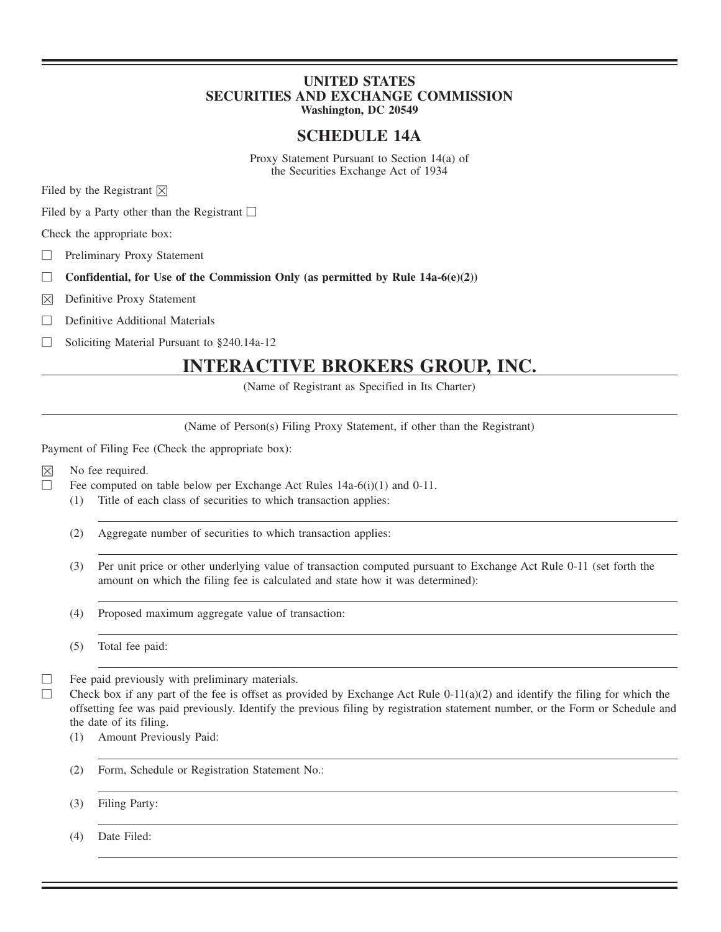## **UNITED STATES SECURITIES AND EXCHANGE COMMISSION Washington, DC 20549**

# **SCHEDULE 14A**

Proxy Statement Pursuant to Section 14(a) of the Securities Exchange Act of 1934

Filed by the Registrant  $\boxtimes$ 

Filed by a Party other than the Registrant  $\square$ 

Check the appropriate box:

□ Preliminary Proxy Statement

- □ **Confidential, for Use of the Commission Only (as permitted by Rule 14a-6(e)(2))**
- ☒ Definitive Proxy Statement
- $\Box$  Definitive Additional Materials

□ Soliciting Material Pursuant to §240.14a-12

# **INTERACTIVE BROKERS GROUP, INC.**

(Name of Registrant as Specified in Its Charter)

(Name of Person(s) Filing Proxy Statement, if other than the Registrant)

Payment of Filing Fee (Check the appropriate box):

- $\boxtimes$  No fee required.
- □ Fee computed on table below per Exchange Act Rules 14a-6(i)(1) and 0-11.
	- (1) Title of each class of securities to which transaction applies:
	- (2) Aggregate number of securities to which transaction applies:
	- (3) Per unit price or other underlying value of transaction computed pursuant to Exchange Act Rule 0-11 (set forth the amount on which the filing fee is calculated and state how it was determined):
	- (4) Proposed maximum aggregate value of transaction:

(5) Total fee paid:

- □ Fee paid previously with preliminary materials.
- $\Box$  Check box if any part of the fee is offset as provided by Exchange Act Rule 0-11(a)(2) and identify the filing for which the offsetting fee was paid previously. Identify the previous filing by registration statement number, or the Form or Schedule and the date of its filing.
	- (1) Amount Previously Paid:
	- (2) Form, Schedule or Registration Statement No.:
	- (3) Filing Party:

(4) Date Filed: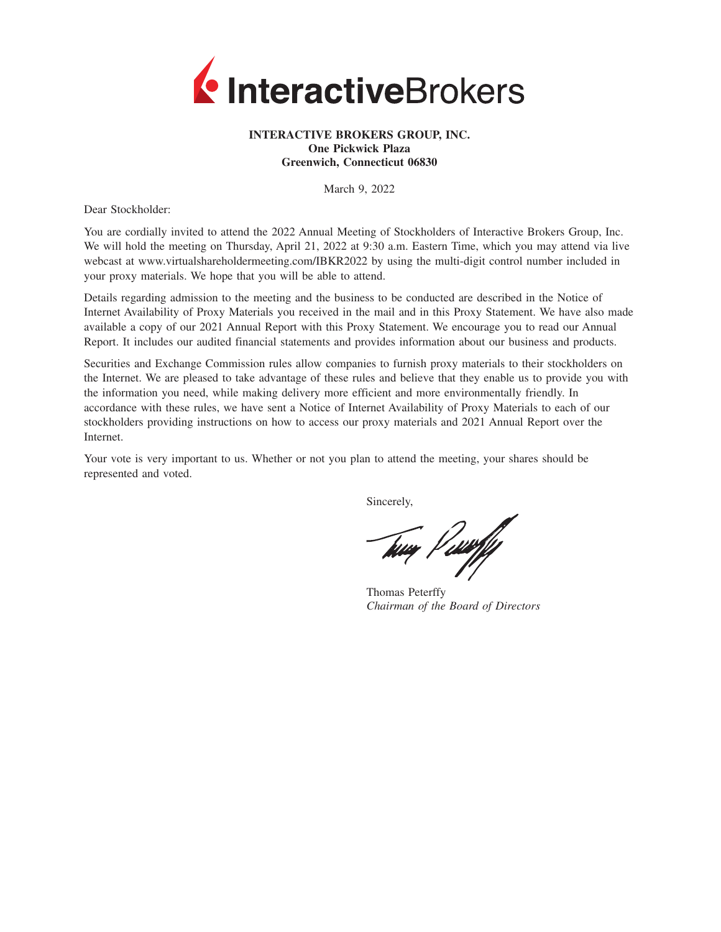

### **INTERACTIVE BROKERS GROUP, INC. One Pickwick Plaza Greenwich, Connecticut 06830**

March 9, 2022

Dear Stockholder:

You are cordially invited to attend the 2022 Annual Meeting of Stockholders of Interactive Brokers Group, Inc. We will hold the meeting on Thursday, April 21, 2022 at 9:30 a.m. Eastern Time, which you may attend via live webcast at www.virtualshareholdermeeting.com/IBKR2022 by using the multi-digit control number included in your proxy materials. We hope that you will be able to attend.

Details regarding admission to the meeting and the business to be conducted are described in the Notice of Internet Availability of Proxy Materials you received in the mail and in this Proxy Statement. We have also made available a copy of our 2021 Annual Report with this Proxy Statement. We encourage you to read our Annual Report. It includes our audited financial statements and provides information about our business and products.

Securities and Exchange Commission rules allow companies to furnish proxy materials to their stockholders on the Internet. We are pleased to take advantage of these rules and believe that they enable us to provide you with the information you need, while making delivery more efficient and more environmentally friendly. In accordance with these rules, we have sent a Notice of Internet Availability of Proxy Materials to each of our stockholders providing instructions on how to access our proxy materials and 2021 Annual Report over the Internet.

Your vote is very important to us. Whether or not you plan to attend the meeting, your shares should be represented and voted.

Sincerely,

tua Paarfy

Thomas Peterffy *Chairman of the Board of Directors*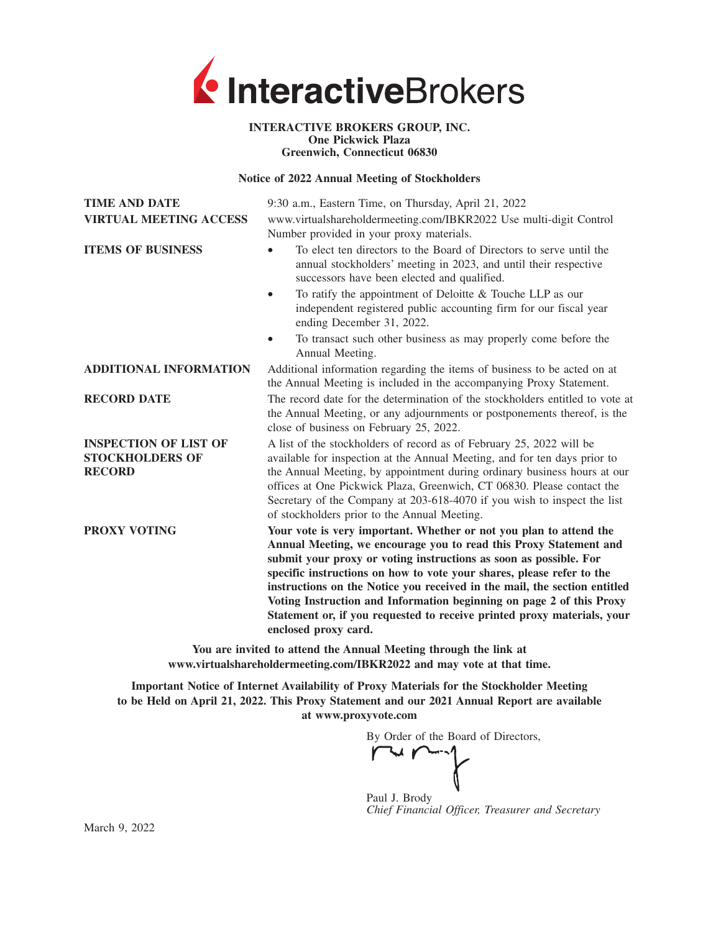

#### **INTERACTIVE BROKERS GROUP, INC. One Pickwick Plaza Greenwich, Connecticut 06830**

#### **Notice of 2022 Annual Meeting of Stockholders**

| <b>TIME AND DATE</b><br><b>VIRTUAL MEETING ACCESS</b>                   | 9:30 a.m., Eastern Time, on Thursday, April 21, 2022<br>www.virtualshareholdermeeting.com/IBKR2022 Use multi-digit Control<br>Number provided in your proxy materials.                                                                                                                                                                                                                                                                                                                                                                        |
|-------------------------------------------------------------------------|-----------------------------------------------------------------------------------------------------------------------------------------------------------------------------------------------------------------------------------------------------------------------------------------------------------------------------------------------------------------------------------------------------------------------------------------------------------------------------------------------------------------------------------------------|
| <b>ITEMS OF BUSINESS</b>                                                | To elect ten directors to the Board of Directors to serve until the<br>annual stockholders' meeting in 2023, and until their respective<br>successors have been elected and qualified.                                                                                                                                                                                                                                                                                                                                                        |
|                                                                         | To ratify the appointment of Deloitte $&$ Touche LLP as our<br>$\bullet$<br>independent registered public accounting firm for our fiscal year<br>ending December 31, 2022.                                                                                                                                                                                                                                                                                                                                                                    |
|                                                                         | To transact such other business as may properly come before the<br>Annual Meeting.                                                                                                                                                                                                                                                                                                                                                                                                                                                            |
| <b>ADDITIONAL INFORMATION</b>                                           | Additional information regarding the items of business to be acted on at<br>the Annual Meeting is included in the accompanying Proxy Statement.                                                                                                                                                                                                                                                                                                                                                                                               |
| <b>RECORD DATE</b>                                                      | The record date for the determination of the stockholders entitled to vote at<br>the Annual Meeting, or any adjournments or postponements thereof, is the<br>close of business on February 25, 2022.                                                                                                                                                                                                                                                                                                                                          |
| <b>INSPECTION OF LIST OF</b><br><b>STOCKHOLDERS OF</b><br><b>RECORD</b> | A list of the stockholders of record as of February 25, 2022 will be<br>available for inspection at the Annual Meeting, and for ten days prior to<br>the Annual Meeting, by appointment during ordinary business hours at our<br>offices at One Pickwick Plaza, Greenwich, CT 06830. Please contact the<br>Secretary of the Company at 203-618-4070 if you wish to inspect the list<br>of stockholders prior to the Annual Meeting.                                                                                                           |
| PROXY VOTING                                                            | Your vote is very important. Whether or not you plan to attend the<br>Annual Meeting, we encourage you to read this Proxy Statement and<br>submit your proxy or voting instructions as soon as possible. For<br>specific instructions on how to vote your shares, please refer to the<br>instructions on the Notice you received in the mail, the section entitled<br>Voting Instruction and Information beginning on page 2 of this Proxy<br>Statement or, if you requested to receive printed proxy materials, your<br>enclosed proxy card. |
|                                                                         | You are invited to attend the Annual Meeting through the link at<br>www.virtualshareholdermeeting.com/IBKR2022 and may vote at that time.                                                                                                                                                                                                                                                                                                                                                                                                     |

**Important Notice of Internet Availability of Proxy Materials for the Stockholder Meeting to be Held on April 21, 2022. This Proxy Statement and our 2021 Annual Report are available at www.proxyvote.com**

By Order of the Board of Directors,

Paul J. Brody *Chief Financial Officer, Treasurer and Secretary*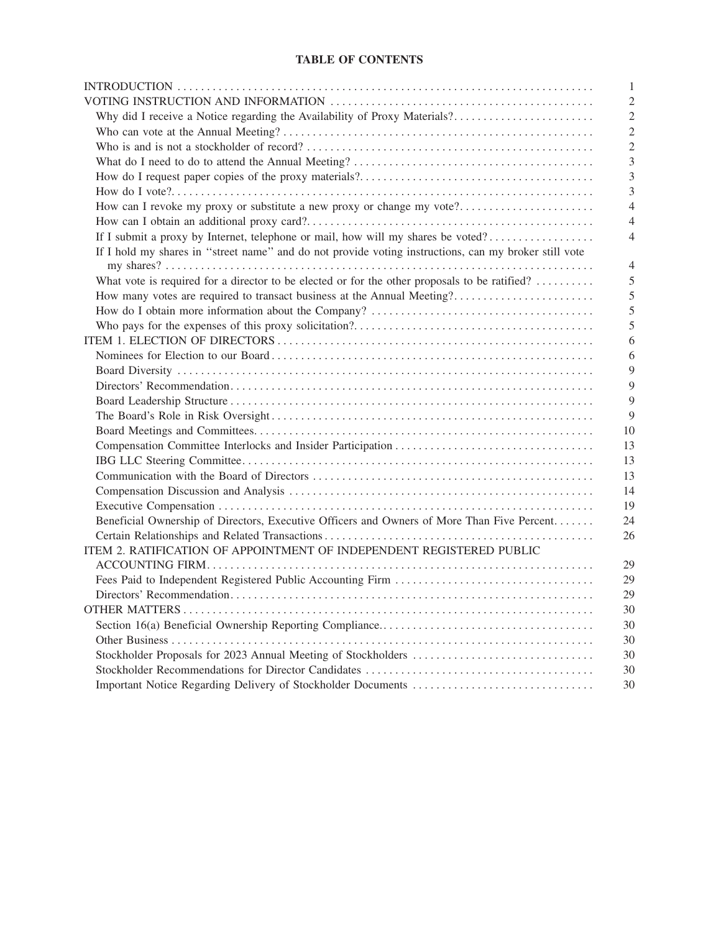## **TABLE OF CONTENTS**

| 1                                                                                                          |
|------------------------------------------------------------------------------------------------------------|
| $\overline{c}$                                                                                             |
| Why did I receive a Notice regarding the Availability of Proxy Materials?<br>$\overline{c}$                |
| $\overline{c}$                                                                                             |
| $\overline{c}$                                                                                             |
| 3                                                                                                          |
| 3                                                                                                          |
| 3                                                                                                          |
| How can I revoke my proxy or substitute a new proxy or change my vote?<br>$\overline{4}$                   |
| $\overline{4}$                                                                                             |
| If I submit a proxy by Internet, telephone or mail, how will my shares be voted?<br>$\overline{4}$         |
| If I hold my shares in "street name" and do not provide voting instructions, can my broker still vote<br>4 |
| What vote is required for a director to be elected or for the other proposals to be ratified?<br>5         |
| How many votes are required to transact business at the Annual Meeting?<br>5                               |
| 5                                                                                                          |
| 5                                                                                                          |
| 6                                                                                                          |
| 6                                                                                                          |
| 9                                                                                                          |
| 9                                                                                                          |
| 9                                                                                                          |
| 9                                                                                                          |
| 10                                                                                                         |
| 13                                                                                                         |
| 13                                                                                                         |
| 13                                                                                                         |
| 14                                                                                                         |
| 19                                                                                                         |
| Beneficial Ownership of Directors, Executive Officers and Owners of More Than Five Percent<br>24           |
| 26                                                                                                         |
| ITEM 2. RATIFICATION OF APPOINTMENT OF INDEPENDENT REGISTERED PUBLIC                                       |
| 29                                                                                                         |
| 29                                                                                                         |
| 29                                                                                                         |
| 30                                                                                                         |
| 30                                                                                                         |
| 30                                                                                                         |
| 30                                                                                                         |
| 30                                                                                                         |
| 30                                                                                                         |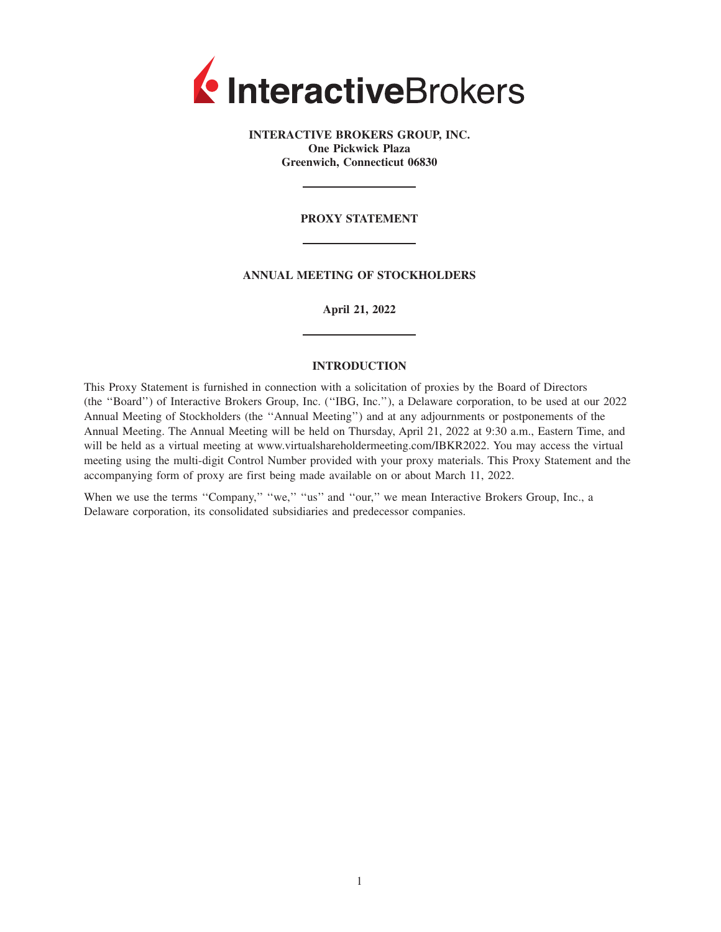

**INTERACTIVE BROKERS GROUP, INC. One Pickwick Plaza Greenwich, Connecticut 06830**

#### **PROXY STATEMENT**

**ANNUAL MEETING OF STOCKHOLDERS**

**April 21, 2022**

#### **INTRODUCTION**

This Proxy Statement is furnished in connection with a solicitation of proxies by the Board of Directors (the ''Board'') of Interactive Brokers Group, Inc. (''IBG, Inc.''), a Delaware corporation, to be used at our 2022 Annual Meeting of Stockholders (the ''Annual Meeting'') and at any adjournments or postponements of the Annual Meeting. The Annual Meeting will be held on Thursday, April 21, 2022 at 9:30 a.m., Eastern Time, and will be held as a virtual meeting at www.virtualshareholdermeeting.com/IBKR2022. You may access the virtual meeting using the multi-digit Control Number provided with your proxy materials. This Proxy Statement and the accompanying form of proxy are first being made available on or about March 11, 2022.

When we use the terms "Company," "we," "us" and "our," we mean Interactive Brokers Group, Inc., a Delaware corporation, its consolidated subsidiaries and predecessor companies.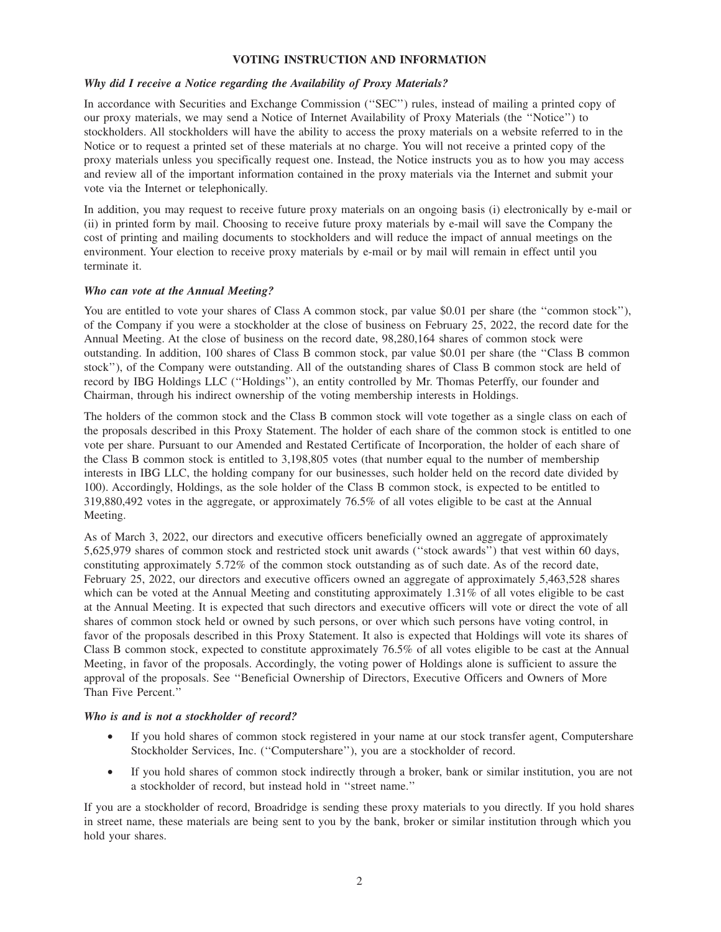#### **VOTING INSTRUCTION AND INFORMATION**

### *Why did I receive a Notice regarding the Availability of Proxy Materials?*

In accordance with Securities and Exchange Commission (''SEC'') rules, instead of mailing a printed copy of our proxy materials, we may send a Notice of Internet Availability of Proxy Materials (the ''Notice'') to stockholders. All stockholders will have the ability to access the proxy materials on a website referred to in the Notice or to request a printed set of these materials at no charge. You will not receive a printed copy of the proxy materials unless you specifically request one. Instead, the Notice instructs you as to how you may access and review all of the important information contained in the proxy materials via the Internet and submit your vote via the Internet or telephonically.

In addition, you may request to receive future proxy materials on an ongoing basis (i) electronically by e-mail or (ii) in printed form by mail. Choosing to receive future proxy materials by e-mail will save the Company the cost of printing and mailing documents to stockholders and will reduce the impact of annual meetings on the environment. Your election to receive proxy materials by e-mail or by mail will remain in effect until you terminate it.

### *Who can vote at the Annual Meeting?*

You are entitled to vote your shares of Class A common stock, par value \$0.01 per share (the "common stock"), of the Company if you were a stockholder at the close of business on February 25, 2022, the record date for the Annual Meeting. At the close of business on the record date, 98,280,164 shares of common stock were outstanding. In addition, 100 shares of Class B common stock, par value \$0.01 per share (the ''Class B common stock''), of the Company were outstanding. All of the outstanding shares of Class B common stock are held of record by IBG Holdings LLC (''Holdings''), an entity controlled by Mr. Thomas Peterffy, our founder and Chairman, through his indirect ownership of the voting membership interests in Holdings.

The holders of the common stock and the Class B common stock will vote together as a single class on each of the proposals described in this Proxy Statement. The holder of each share of the common stock is entitled to one vote per share. Pursuant to our Amended and Restated Certificate of Incorporation, the holder of each share of the Class B common stock is entitled to 3,198,805 votes (that number equal to the number of membership interests in IBG LLC, the holding company for our businesses, such holder held on the record date divided by 100). Accordingly, Holdings, as the sole holder of the Class B common stock, is expected to be entitled to 319,880,492 votes in the aggregate, or approximately 76.5% of all votes eligible to be cast at the Annual Meeting.

As of March 3, 2022, our directors and executive officers beneficially owned an aggregate of approximately 5,625,979 shares of common stock and restricted stock unit awards (''stock awards'') that vest within 60 days, constituting approximately 5.72% of the common stock outstanding as of such date. As of the record date, February 25, 2022, our directors and executive officers owned an aggregate of approximately 5,463,528 shares which can be voted at the Annual Meeting and constituting approximately 1.31% of all votes eligible to be cast at the Annual Meeting. It is expected that such directors and executive officers will vote or direct the vote of all shares of common stock held or owned by such persons, or over which such persons have voting control, in favor of the proposals described in this Proxy Statement. It also is expected that Holdings will vote its shares of Class B common stock, expected to constitute approximately 76.5% of all votes eligible to be cast at the Annual Meeting, in favor of the proposals. Accordingly, the voting power of Holdings alone is sufficient to assure the approval of the proposals. See ''Beneficial Ownership of Directors, Executive Officers and Owners of More Than Five Percent.''

#### *Who is and is not a stockholder of record?*

- If you hold shares of common stock registered in your name at our stock transfer agent, Computershare Stockholder Services, Inc. (''Computershare''), you are a stockholder of record.
- If you hold shares of common stock indirectly through a broker, bank or similar institution, you are not a stockholder of record, but instead hold in ''street name.''

If you are a stockholder of record, Broadridge is sending these proxy materials to you directly. If you hold shares in street name, these materials are being sent to you by the bank, broker or similar institution through which you hold your shares.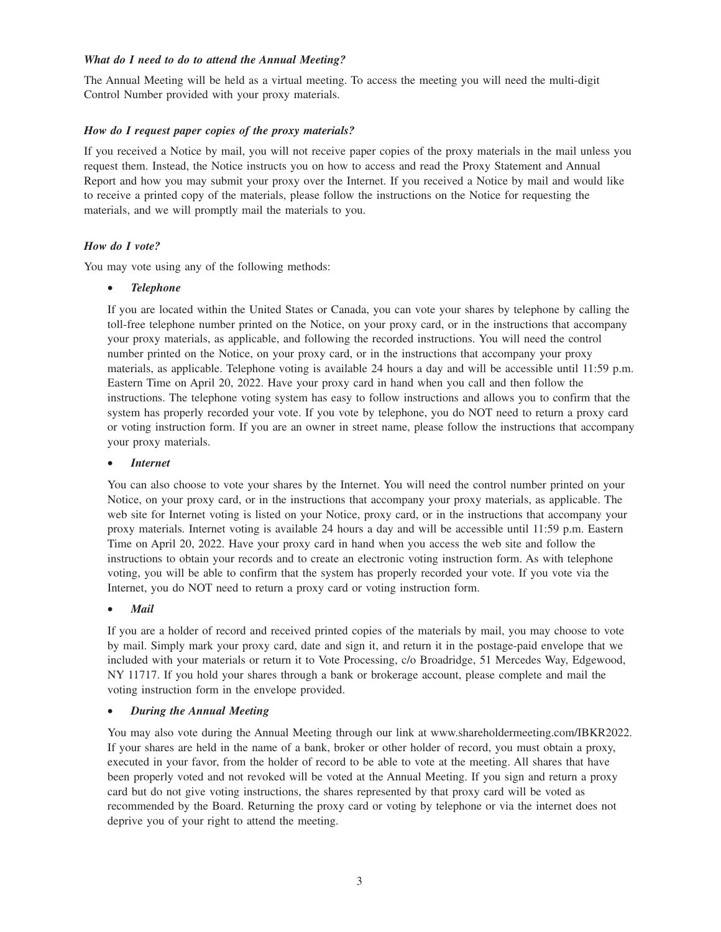## *What do I need to do to attend the Annual Meeting?*

The Annual Meeting will be held as a virtual meeting. To access the meeting you will need the multi-digit Control Number provided with your proxy materials.

## *How do I request paper copies of the proxy materials?*

If you received a Notice by mail, you will not receive paper copies of the proxy materials in the mail unless you request them. Instead, the Notice instructs you on how to access and read the Proxy Statement and Annual Report and how you may submit your proxy over the Internet. If you received a Notice by mail and would like to receive a printed copy of the materials, please follow the instructions on the Notice for requesting the materials, and we will promptly mail the materials to you.

## *How do I vote?*

You may vote using any of the following methods:

### • *Telephone*

If you are located within the United States or Canada, you can vote your shares by telephone by calling the toll-free telephone number printed on the Notice, on your proxy card, or in the instructions that accompany your proxy materials, as applicable, and following the recorded instructions. You will need the control number printed on the Notice, on your proxy card, or in the instructions that accompany your proxy materials, as applicable. Telephone voting is available 24 hours a day and will be accessible until 11:59 p.m. Eastern Time on April 20, 2022. Have your proxy card in hand when you call and then follow the instructions. The telephone voting system has easy to follow instructions and allows you to confirm that the system has properly recorded your vote. If you vote by telephone, you do NOT need to return a proxy card or voting instruction form. If you are an owner in street name, please follow the instructions that accompany your proxy materials.

### • *Internet*

You can also choose to vote your shares by the Internet. You will need the control number printed on your Notice, on your proxy card, or in the instructions that accompany your proxy materials, as applicable. The web site for Internet voting is listed on your Notice, proxy card, or in the instructions that accompany your proxy materials. Internet voting is available 24 hours a day and will be accessible until 11:59 p.m. Eastern Time on April 20, 2022. Have your proxy card in hand when you access the web site and follow the instructions to obtain your records and to create an electronic voting instruction form. As with telephone voting, you will be able to confirm that the system has properly recorded your vote. If you vote via the Internet, you do NOT need to return a proxy card or voting instruction form.

## • *Mail*

If you are a holder of record and received printed copies of the materials by mail, you may choose to vote by mail. Simply mark your proxy card, date and sign it, and return it in the postage-paid envelope that we included with your materials or return it to Vote Processing, c/o Broadridge, 51 Mercedes Way, Edgewood, NY 11717. If you hold your shares through a bank or brokerage account, please complete and mail the voting instruction form in the envelope provided.

#### • *During the Annual Meeting*

You may also vote during the Annual Meeting through our link at www.shareholdermeeting.com/IBKR2022. If your shares are held in the name of a bank, broker or other holder of record, you must obtain a proxy, executed in your favor, from the holder of record to be able to vote at the meeting. All shares that have been properly voted and not revoked will be voted at the Annual Meeting. If you sign and return a proxy card but do not give voting instructions, the shares represented by that proxy card will be voted as recommended by the Board. Returning the proxy card or voting by telephone or via the internet does not deprive you of your right to attend the meeting.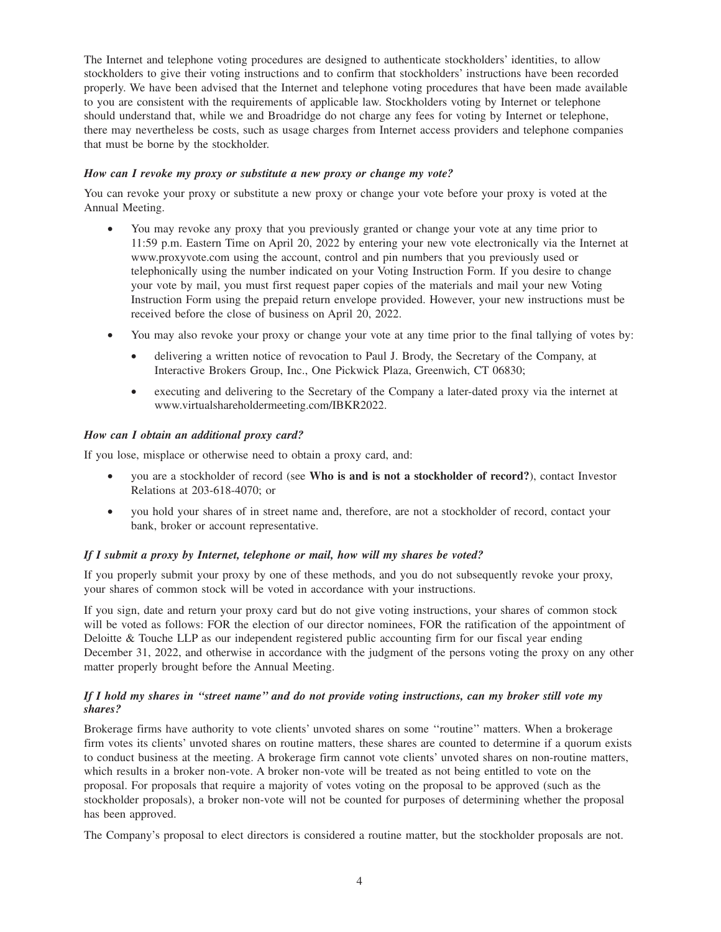The Internet and telephone voting procedures are designed to authenticate stockholders' identities, to allow stockholders to give their voting instructions and to confirm that stockholders' instructions have been recorded properly. We have been advised that the Internet and telephone voting procedures that have been made available to you are consistent with the requirements of applicable law. Stockholders voting by Internet or telephone should understand that, while we and Broadridge do not charge any fees for voting by Internet or telephone, there may nevertheless be costs, such as usage charges from Internet access providers and telephone companies that must be borne by the stockholder.

### *How can I revoke my proxy or substitute a new proxy or change my vote?*

You can revoke your proxy or substitute a new proxy or change your vote before your proxy is voted at the Annual Meeting.

- You may revoke any proxy that you previously granted or change your vote at any time prior to 11:59 p.m. Eastern Time on April 20, 2022 by entering your new vote electronically via the Internet at www.proxyvote.com using the account, control and pin numbers that you previously used or telephonically using the number indicated on your Voting Instruction Form. If you desire to change your vote by mail, you must first request paper copies of the materials and mail your new Voting Instruction Form using the prepaid return envelope provided. However, your new instructions must be received before the close of business on April 20, 2022.
- You may also revoke your proxy or change your vote at any time prior to the final tallying of votes by:
	- delivering a written notice of revocation to Paul J. Brody, the Secretary of the Company, at Interactive Brokers Group, Inc., One Pickwick Plaza, Greenwich, CT 06830;
	- executing and delivering to the Secretary of the Company a later-dated proxy via the internet at www.virtualshareholdermeeting.com/IBKR2022.

## *How can I obtain an additional proxy card?*

If you lose, misplace or otherwise need to obtain a proxy card, and:

- you are a stockholder of record (see **Who is and is not a stockholder of record?**), contact Investor Relations at 203-618-4070; or
- you hold your shares of in street name and, therefore, are not a stockholder of record, contact your bank, broker or account representative.

## *If I submit a proxy by Internet, telephone or mail, how will my shares be voted?*

If you properly submit your proxy by one of these methods, and you do not subsequently revoke your proxy, your shares of common stock will be voted in accordance with your instructions.

If you sign, date and return your proxy card but do not give voting instructions, your shares of common stock will be voted as follows: FOR the election of our director nominees, FOR the ratification of the appointment of Deloitte & Touche LLP as our independent registered public accounting firm for our fiscal year ending December 31, 2022, and otherwise in accordance with the judgment of the persons voting the proxy on any other matter properly brought before the Annual Meeting.

## *If I hold my shares in ''street name'' and do not provide voting instructions, can my broker still vote my shares?*

Brokerage firms have authority to vote clients' unvoted shares on some ''routine'' matters. When a brokerage firm votes its clients' unvoted shares on routine matters, these shares are counted to determine if a quorum exists to conduct business at the meeting. A brokerage firm cannot vote clients' unvoted shares on non-routine matters, which results in a broker non-vote. A broker non-vote will be treated as not being entitled to vote on the proposal. For proposals that require a majority of votes voting on the proposal to be approved (such as the stockholder proposals), a broker non-vote will not be counted for purposes of determining whether the proposal has been approved.

The Company's proposal to elect directors is considered a routine matter, but the stockholder proposals are not.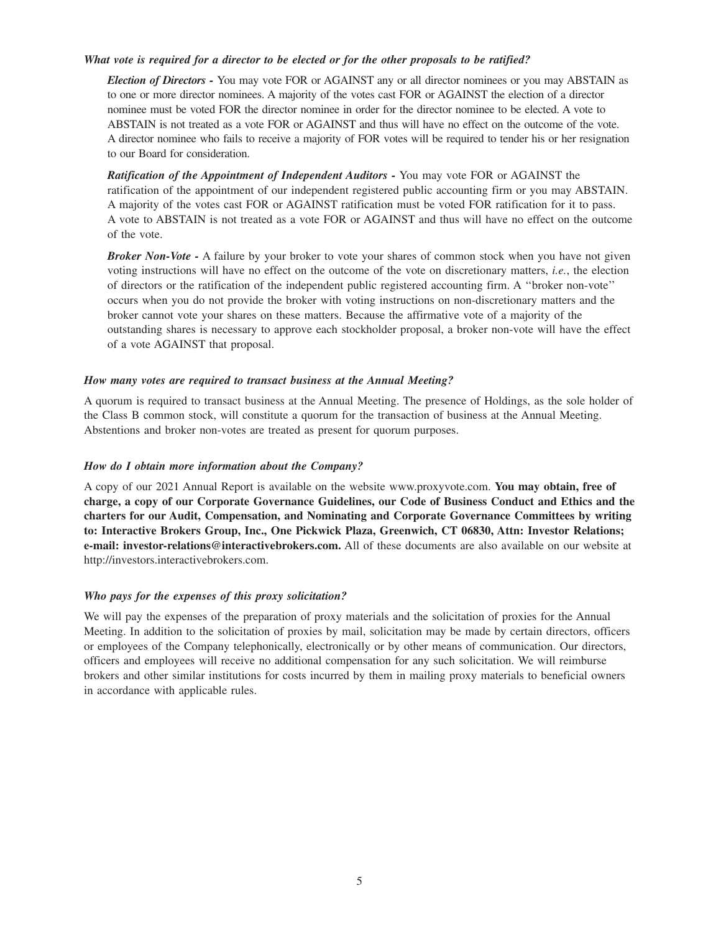### *What vote is required for a director to be elected or for the other proposals to be ratified?*

*Election of Directors -* You may vote FOR or AGAINST any or all director nominees or you may ABSTAIN as to one or more director nominees. A majority of the votes cast FOR or AGAINST the election of a director nominee must be voted FOR the director nominee in order for the director nominee to be elected. A vote to ABSTAIN is not treated as a vote FOR or AGAINST and thus will have no effect on the outcome of the vote. A director nominee who fails to receive a majority of FOR votes will be required to tender his or her resignation to our Board for consideration.

*Ratification of the Appointment of Independent Auditors -* You may vote FOR or AGAINST the ratification of the appointment of our independent registered public accounting firm or you may ABSTAIN. A majority of the votes cast FOR or AGAINST ratification must be voted FOR ratification for it to pass. A vote to ABSTAIN is not treated as a vote FOR or AGAINST and thus will have no effect on the outcome of the vote.

*Broker Non-Vote -* A failure by your broker to vote your shares of common stock when you have not given voting instructions will have no effect on the outcome of the vote on discretionary matters, *i.e.*, the election of directors or the ratification of the independent public registered accounting firm. A ''broker non-vote'' occurs when you do not provide the broker with voting instructions on non-discretionary matters and the broker cannot vote your shares on these matters. Because the affirmative vote of a majority of the outstanding shares is necessary to approve each stockholder proposal, a broker non-vote will have the effect of a vote AGAINST that proposal.

### *How many votes are required to transact business at the Annual Meeting?*

A quorum is required to transact business at the Annual Meeting. The presence of Holdings, as the sole holder of the Class B common stock, will constitute a quorum for the transaction of business at the Annual Meeting. Abstentions and broker non-votes are treated as present for quorum purposes.

## *How do I obtain more information about the Company?*

A copy of our 2021 Annual Report is available on the website www.proxyvote.com. **You may obtain, free of charge, a copy of our Corporate Governance Guidelines, our Code of Business Conduct and Ethics and the charters for our Audit, Compensation, and Nominating and Corporate Governance Committees by writing to: Interactive Brokers Group, Inc., One Pickwick Plaza, Greenwich, CT 06830, Attn: Investor Relations; e-mail: investor-relations@interactivebrokers.com.** All of these documents are also available on our website at http://investors.interactivebrokers.com.

## *Who pays for the expenses of this proxy solicitation?*

We will pay the expenses of the preparation of proxy materials and the solicitation of proxies for the Annual Meeting. In addition to the solicitation of proxies by mail, solicitation may be made by certain directors, officers or employees of the Company telephonically, electronically or by other means of communication. Our directors, officers and employees will receive no additional compensation for any such solicitation. We will reimburse brokers and other similar institutions for costs incurred by them in mailing proxy materials to beneficial owners in accordance with applicable rules.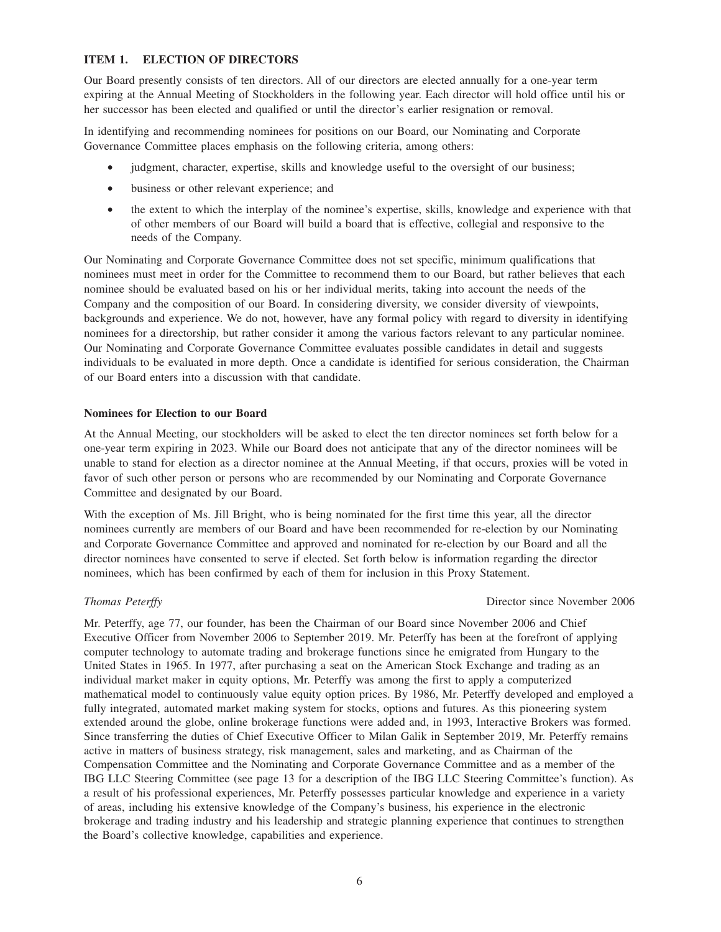## **ITEM 1. ELECTION OF DIRECTORS**

Our Board presently consists of ten directors. All of our directors are elected annually for a one-year term expiring at the Annual Meeting of Stockholders in the following year. Each director will hold office until his or her successor has been elected and qualified or until the director's earlier resignation or removal.

In identifying and recommending nominees for positions on our Board, our Nominating and Corporate Governance Committee places emphasis on the following criteria, among others:

- judgment, character, expertise, skills and knowledge useful to the oversight of our business;
- business or other relevant experience; and
- the extent to which the interplay of the nominee's expertise, skills, knowledge and experience with that of other members of our Board will build a board that is effective, collegial and responsive to the needs of the Company.

Our Nominating and Corporate Governance Committee does not set specific, minimum qualifications that nominees must meet in order for the Committee to recommend them to our Board, but rather believes that each nominee should be evaluated based on his or her individual merits, taking into account the needs of the Company and the composition of our Board. In considering diversity, we consider diversity of viewpoints, backgrounds and experience. We do not, however, have any formal policy with regard to diversity in identifying nominees for a directorship, but rather consider it among the various factors relevant to any particular nominee. Our Nominating and Corporate Governance Committee evaluates possible candidates in detail and suggests individuals to be evaluated in more depth. Once a candidate is identified for serious consideration, the Chairman of our Board enters into a discussion with that candidate.

#### **Nominees for Election to our Board**

At the Annual Meeting, our stockholders will be asked to elect the ten director nominees set forth below for a one-year term expiring in 2023. While our Board does not anticipate that any of the director nominees will be unable to stand for election as a director nominee at the Annual Meeting, if that occurs, proxies will be voted in favor of such other person or persons who are recommended by our Nominating and Corporate Governance Committee and designated by our Board.

With the exception of Ms. Jill Bright, who is being nominated for the first time this year, all the director nominees currently are members of our Board and have been recommended for re-election by our Nominating and Corporate Governance Committee and approved and nominated for re-election by our Board and all the director nominees have consented to serve if elected. Set forth below is information regarding the director nominees, which has been confirmed by each of them for inclusion in this Proxy Statement.

## **Thomas Peterffy** Director since November 2006

Mr. Peterffy, age 77, our founder, has been the Chairman of our Board since November 2006 and Chief Executive Officer from November 2006 to September 2019. Mr. Peterffy has been at the forefront of applying computer technology to automate trading and brokerage functions since he emigrated from Hungary to the United States in 1965. In 1977, after purchasing a seat on the American Stock Exchange and trading as an individual market maker in equity options, Mr. Peterffy was among the first to apply a computerized mathematical model to continuously value equity option prices. By 1986, Mr. Peterffy developed and employed a fully integrated, automated market making system for stocks, options and futures. As this pioneering system extended around the globe, online brokerage functions were added and, in 1993, Interactive Brokers was formed. Since transferring the duties of Chief Executive Officer to Milan Galik in September 2019, Mr. Peterffy remains active in matters of business strategy, risk management, sales and marketing, and as Chairman of the Compensation Committee and the Nominating and Corporate Governance Committee and as a member of the IBG LLC Steering Committee (see page 13 for a description of the IBG LLC Steering Committee's function). As a result of his professional experiences, Mr. Peterffy possesses particular knowledge and experience in a variety of areas, including his extensive knowledge of the Company's business, his experience in the electronic brokerage and trading industry and his leadership and strategic planning experience that continues to strengthen the Board's collective knowledge, capabilities and experience.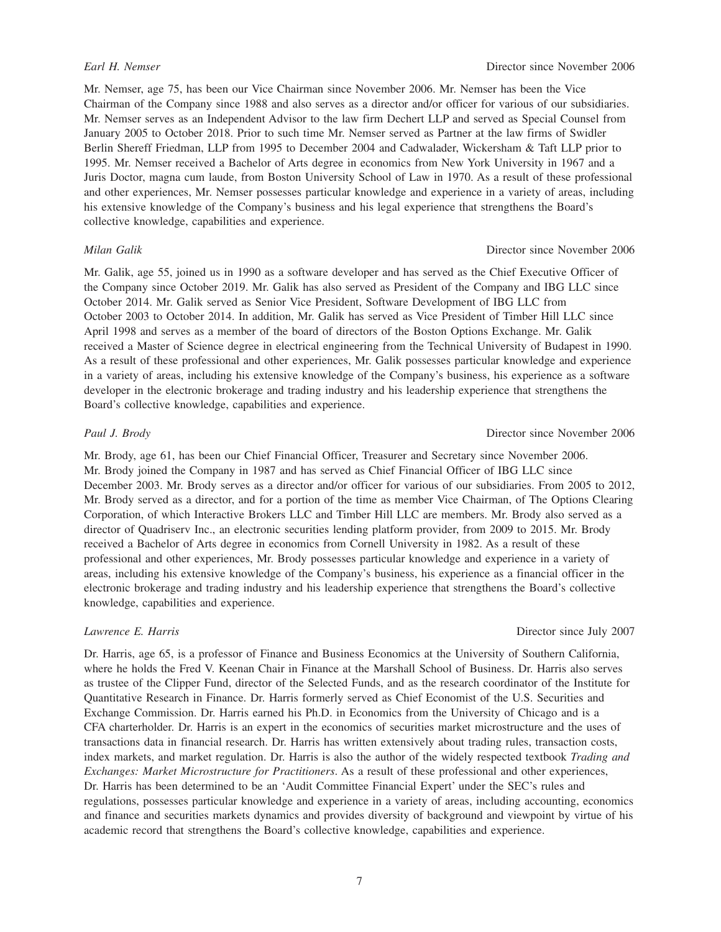Mr. Nemser, age 75, has been our Vice Chairman since November 2006. Mr. Nemser has been the Vice Chairman of the Company since 1988 and also serves as a director and/or officer for various of our subsidiaries. Mr. Nemser serves as an Independent Advisor to the law firm Dechert LLP and served as Special Counsel from January 2005 to October 2018. Prior to such time Mr. Nemser served as Partner at the law firms of Swidler Berlin Shereff Friedman, LLP from 1995 to December 2004 and Cadwalader, Wickersham & Taft LLP prior to 1995. Mr. Nemser received a Bachelor of Arts degree in economics from New York University in 1967 and a Juris Doctor, magna cum laude, from Boston University School of Law in 1970. As a result of these professional and other experiences, Mr. Nemser possesses particular knowledge and experience in a variety of areas, including his extensive knowledge of the Company's business and his legal experience that strengthens the Board's collective knowledge, capabilities and experience.

Mr. Galik, age 55, joined us in 1990 as a software developer and has served as the Chief Executive Officer of the Company since October 2019. Mr. Galik has also served as President of the Company and IBG LLC since October 2014. Mr. Galik served as Senior Vice President, Software Development of IBG LLC from October 2003 to October 2014. In addition, Mr. Galik has served as Vice President of Timber Hill LLC since April 1998 and serves as a member of the board of directors of the Boston Options Exchange. Mr. Galik received a Master of Science degree in electrical engineering from the Technical University of Budapest in 1990. As a result of these professional and other experiences, Mr. Galik possesses particular knowledge and experience in a variety of areas, including his extensive knowledge of the Company's business, his experience as a software developer in the electronic brokerage and trading industry and his leadership experience that strengthens the Board's collective knowledge, capabilities and experience.

Mr. Brody, age 61, has been our Chief Financial Officer, Treasurer and Secretary since November 2006. Mr. Brody joined the Company in 1987 and has served as Chief Financial Officer of IBG LLC since December 2003. Mr. Brody serves as a director and/or officer for various of our subsidiaries. From 2005 to 2012, Mr. Brody served as a director, and for a portion of the time as member Vice Chairman, of The Options Clearing Corporation, of which Interactive Brokers LLC and Timber Hill LLC are members. Mr. Brody also served as a director of Quadriserv Inc., an electronic securities lending platform provider, from 2009 to 2015. Mr. Brody received a Bachelor of Arts degree in economics from Cornell University in 1982. As a result of these professional and other experiences, Mr. Brody possesses particular knowledge and experience in a variety of areas, including his extensive knowledge of the Company's business, his experience as a financial officer in the electronic brokerage and trading industry and his leadership experience that strengthens the Board's collective knowledge, capabilities and experience.

Dr. Harris, age 65, is a professor of Finance and Business Economics at the University of Southern California, where he holds the Fred V. Keenan Chair in Finance at the Marshall School of Business. Dr. Harris also serves as trustee of the Clipper Fund, director of the Selected Funds, and as the research coordinator of the Institute for Quantitative Research in Finance. Dr. Harris formerly served as Chief Economist of the U.S. Securities and Exchange Commission. Dr. Harris earned his Ph.D. in Economics from the University of Chicago and is a CFA charterholder. Dr. Harris is an expert in the economics of securities market microstructure and the uses of transactions data in financial research. Dr. Harris has written extensively about trading rules, transaction costs, index markets, and market regulation. Dr. Harris is also the author of the widely respected textbook *Trading and Exchanges: Market Microstructure for Practitioners*. As a result of these professional and other experiences, Dr. Harris has been determined to be an 'Audit Committee Financial Expert' under the SEC's rules and regulations, possesses particular knowledge and experience in a variety of areas, including accounting, economics and finance and securities markets dynamics and provides diversity of background and viewpoint by virtue of his academic record that strengthens the Board's collective knowledge, capabilities and experience.

#### *Milan Galik* Director since November 2006

### *Paul J. Brody* Director since November 2006

*Lawrence E. Harris* Director since July 2007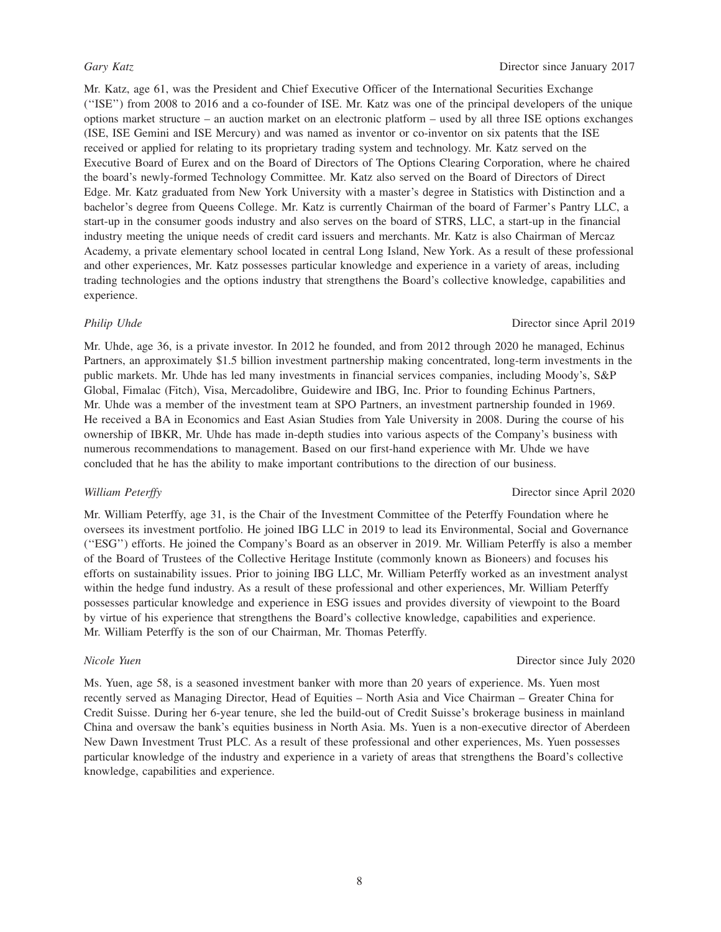Mr. Katz, age 61, was the President and Chief Executive Officer of the International Securities Exchange (''ISE'') from 2008 to 2016 and a co-founder of ISE. Mr. Katz was one of the principal developers of the unique options market structure – an auction market on an electronic platform – used by all three ISE options exchanges (ISE, ISE Gemini and ISE Mercury) and was named as inventor or co-inventor on six patents that the ISE received or applied for relating to its proprietary trading system and technology. Mr. Katz served on the Executive Board of Eurex and on the Board of Directors of The Options Clearing Corporation, where he chaired the board's newly-formed Technology Committee. Mr. Katz also served on the Board of Directors of Direct Edge. Mr. Katz graduated from New York University with a master's degree in Statistics with Distinction and a bachelor's degree from Queens College. Mr. Katz is currently Chairman of the board of Farmer's Pantry LLC, a start-up in the consumer goods industry and also serves on the board of STRS, LLC, a start-up in the financial industry meeting the unique needs of credit card issuers and merchants. Mr. Katz is also Chairman of Mercaz Academy, a private elementary school located in central Long Island, New York. As a result of these professional and other experiences, Mr. Katz possesses particular knowledge and experience in a variety of areas, including trading technologies and the options industry that strengthens the Board's collective knowledge, capabilities and experience.

Mr. Uhde, age 36, is a private investor. In 2012 he founded, and from 2012 through 2020 he managed, Echinus Partners, an approximately \$1.5 billion investment partnership making concentrated, long-term investments in the public markets. Mr. Uhde has led many investments in financial services companies, including Moody's, S&P Global, Fimalac (Fitch), Visa, Mercadolibre, Guidewire and IBG, Inc. Prior to founding Echinus Partners, Mr. Uhde was a member of the investment team at SPO Partners, an investment partnership founded in 1969. He received a BA in Economics and East Asian Studies from Yale University in 2008. During the course of his ownership of IBKR, Mr. Uhde has made in-depth studies into various aspects of the Company's business with numerous recommendations to management. Based on our first-hand experience with Mr. Uhde we have concluded that he has the ability to make important contributions to the direction of our business.

### *William Peterffy* Director since April 2020

Mr. William Peterffy, age 31, is the Chair of the Investment Committee of the Peterffy Foundation where he oversees its investment portfolio. He joined IBG LLC in 2019 to lead its Environmental, Social and Governance (''ESG'') efforts. He joined the Company's Board as an observer in 2019. Mr. William Peterffy is also a member of the Board of Trustees of the Collective Heritage Institute (commonly known as Bioneers) and focuses his efforts on sustainability issues. Prior to joining IBG LLC, Mr. William Peterffy worked as an investment analyst within the hedge fund industry. As a result of these professional and other experiences, Mr. William Peterffy possesses particular knowledge and experience in ESG issues and provides diversity of viewpoint to the Board by virtue of his experience that strengthens the Board's collective knowledge, capabilities and experience. Mr. William Peterffy is the son of our Chairman, Mr. Thomas Peterffy.

*Nicole Yuen* Director since July 2020

Ms. Yuen, age 58, is a seasoned investment banker with more than 20 years of experience. Ms. Yuen most recently served as Managing Director, Head of Equities – North Asia and Vice Chairman – Greater China for Credit Suisse. During her 6-year tenure, she led the build-out of Credit Suisse's brokerage business in mainland China and oversaw the bank's equities business in North Asia. Ms. Yuen is a non-executive director of Aberdeen New Dawn Investment Trust PLC. As a result of these professional and other experiences, Ms. Yuen possesses particular knowledge of the industry and experience in a variety of areas that strengthens the Board's collective knowledge, capabilities and experience.

#### *Philip Uhde* Director since April 2019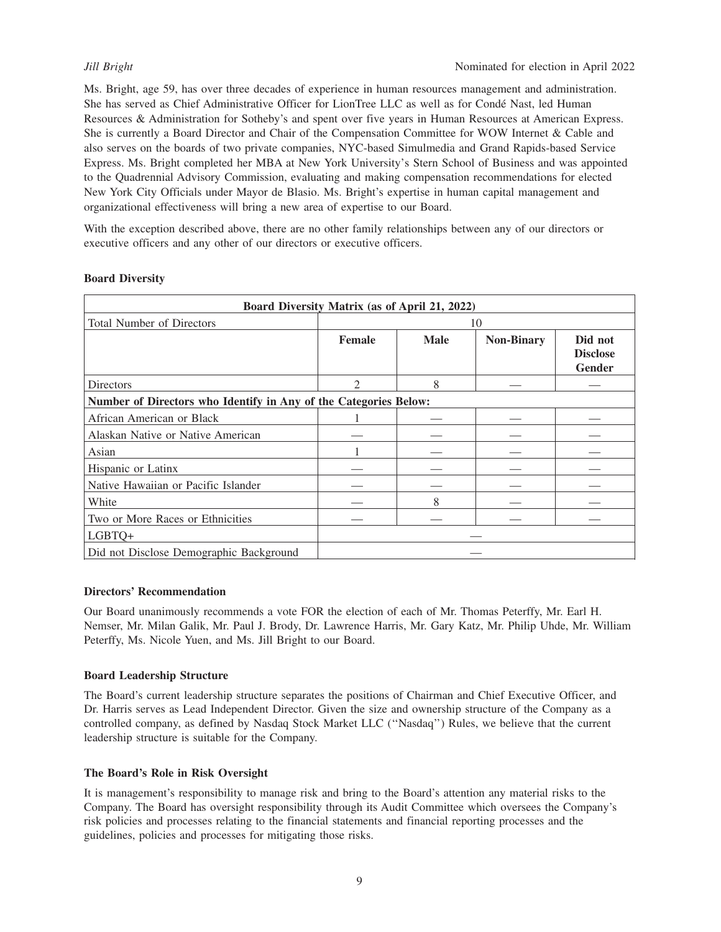Ms. Bright, age 59, has over three decades of experience in human resources management and administration. She has served as Chief Administrative Officer for LionTree LLC as well as for Condé Nast, led Human Resources & Administration for Sotheby's and spent over five years in Human Resources at American Express. She is currently a Board Director and Chair of the Compensation Committee for WOW Internet & Cable and also serves on the boards of two private companies, NYC-based Simulmedia and Grand Rapids-based Service Express. Ms. Bright completed her MBA at New York University's Stern School of Business and was appointed to the Quadrennial Advisory Commission, evaluating and making compensation recommendations for elected New York City Officials under Mayor de Blasio. Ms. Bright's expertise in human capital management and organizational effectiveness will bring a new area of expertise to our Board.

With the exception described above, there are no other family relationships between any of our directors or executive officers and any other of our directors or executive officers.

## **Board Diversity**

| Board Diversity Matrix (as of April 21, 2022)                    |               |             |                   |                                             |  |  |  |
|------------------------------------------------------------------|---------------|-------------|-------------------|---------------------------------------------|--|--|--|
| <b>Total Number of Directors</b>                                 |               | 10          |                   |                                             |  |  |  |
|                                                                  | <b>Female</b> | <b>Male</b> | <b>Non-Binary</b> | Did not<br><b>Disclose</b><br><b>Gender</b> |  |  |  |
| <b>Directors</b>                                                 | っ             | 8           |                   |                                             |  |  |  |
| Number of Directors who Identify in Any of the Categories Below: |               |             |                   |                                             |  |  |  |
| African American or Black                                        |               |             |                   |                                             |  |  |  |
| Alaskan Native or Native American                                |               |             |                   |                                             |  |  |  |
| Asian                                                            |               |             |                   |                                             |  |  |  |
| Hispanic or Latinx                                               |               |             |                   |                                             |  |  |  |
| Native Hawaiian or Pacific Islander                              |               |             |                   |                                             |  |  |  |
| White                                                            |               | 8           |                   |                                             |  |  |  |
| Two or More Races or Ethnicities                                 |               |             |                   |                                             |  |  |  |
| LGBTQ+                                                           |               |             |                   |                                             |  |  |  |
| Did not Disclose Demographic Background                          |               |             |                   |                                             |  |  |  |

## **Directors' Recommendation**

Our Board unanimously recommends a vote FOR the election of each of Mr. Thomas Peterffy, Mr. Earl H. Nemser, Mr. Milan Galik, Mr. Paul J. Brody, Dr. Lawrence Harris, Mr. Gary Katz, Mr. Philip Uhde, Mr. William Peterffy, Ms. Nicole Yuen, and Ms. Jill Bright to our Board.

## **Board Leadership Structure**

The Board's current leadership structure separates the positions of Chairman and Chief Executive Officer, and Dr. Harris serves as Lead Independent Director. Given the size and ownership structure of the Company as a controlled company, as defined by Nasdaq Stock Market LLC (''Nasdaq'') Rules, we believe that the current leadership structure is suitable for the Company.

## **The Board's Role in Risk Oversight**

It is management's responsibility to manage risk and bring to the Board's attention any material risks to the Company. The Board has oversight responsibility through its Audit Committee which oversees the Company's risk policies and processes relating to the financial statements and financial reporting processes and the guidelines, policies and processes for mitigating those risks.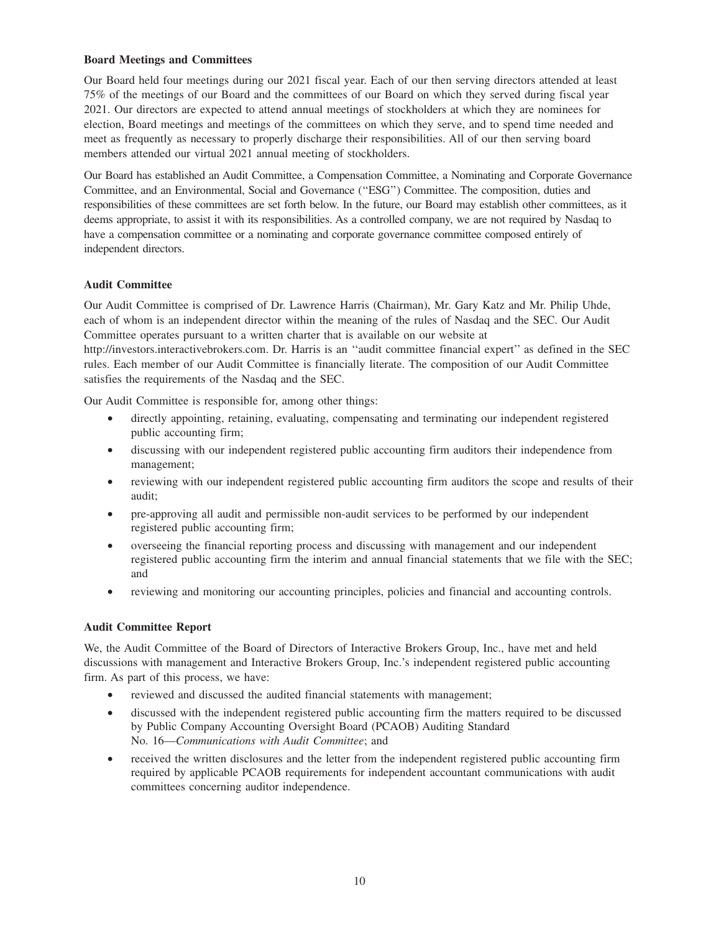### **Board Meetings and Committees**

Our Board held four meetings during our 2021 fiscal year. Each of our then serving directors attended at least 75% of the meetings of our Board and the committees of our Board on which they served during fiscal year 2021. Our directors are expected to attend annual meetings of stockholders at which they are nominees for election, Board meetings and meetings of the committees on which they serve, and to spend time needed and meet as frequently as necessary to properly discharge their responsibilities. All of our then serving board members attended our virtual 2021 annual meeting of stockholders.

Our Board has established an Audit Committee, a Compensation Committee, a Nominating and Corporate Governance Committee, and an Environmental, Social and Governance (''ESG'') Committee. The composition, duties and responsibilities of these committees are set forth below. In the future, our Board may establish other committees, as it deems appropriate, to assist it with its responsibilities. As a controlled company, we are not required by Nasdaq to have a compensation committee or a nominating and corporate governance committee composed entirely of independent directors.

## **Audit Committee**

Our Audit Committee is comprised of Dr. Lawrence Harris (Chairman), Mr. Gary Katz and Mr. Philip Uhde, each of whom is an independent director within the meaning of the rules of Nasdaq and the SEC. Our Audit Committee operates pursuant to a written charter that is available on our website at http://investors.interactivebrokers.com. Dr. Harris is an ''audit committee financial expert'' as defined in the SEC rules. Each member of our Audit Committee is financially literate. The composition of our Audit Committee satisfies the requirements of the Nasdaq and the SEC.

Our Audit Committee is responsible for, among other things:

- directly appointing, retaining, evaluating, compensating and terminating our independent registered public accounting firm;
- discussing with our independent registered public accounting firm auditors their independence from management;
- reviewing with our independent registered public accounting firm auditors the scope and results of their audit;
- pre-approving all audit and permissible non-audit services to be performed by our independent registered public accounting firm;
- overseeing the financial reporting process and discussing with management and our independent registered public accounting firm the interim and annual financial statements that we file with the SEC; and
- reviewing and monitoring our accounting principles, policies and financial and accounting controls.

## **Audit Committee Report**

We, the Audit Committee of the Board of Directors of Interactive Brokers Group, Inc., have met and held discussions with management and Interactive Brokers Group, Inc.'s independent registered public accounting firm. As part of this process, we have:

- reviewed and discussed the audited financial statements with management;
- discussed with the independent registered public accounting firm the matters required to be discussed by Public Company Accounting Oversight Board (PCAOB) Auditing Standard No. 16—*Communications with Audit Committee*; and
- received the written disclosures and the letter from the independent registered public accounting firm required by applicable PCAOB requirements for independent accountant communications with audit committees concerning auditor independence.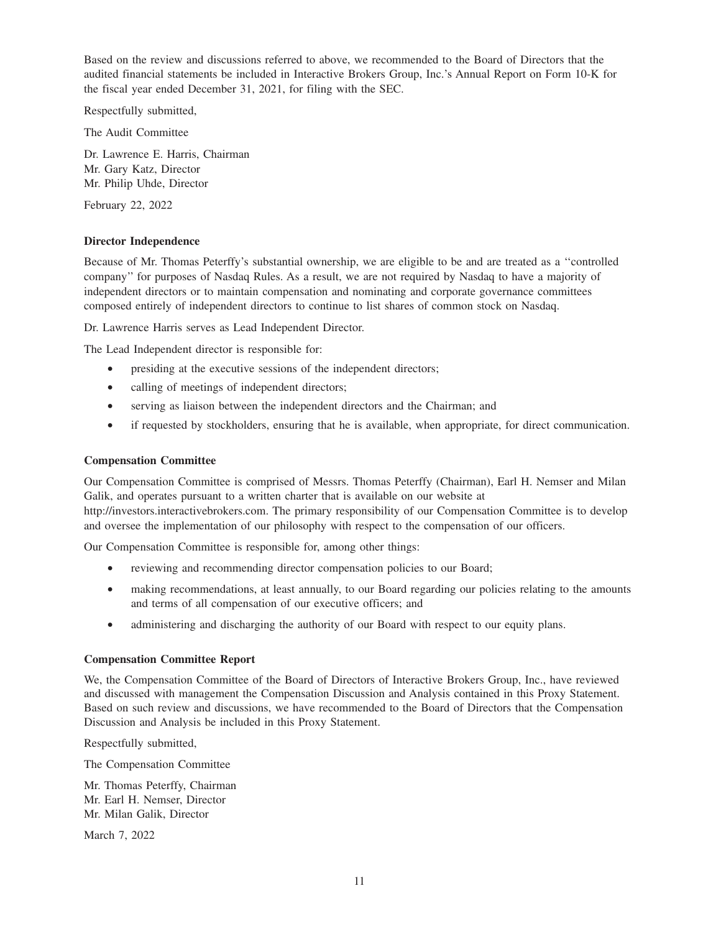Based on the review and discussions referred to above, we recommended to the Board of Directors that the audited financial statements be included in Interactive Brokers Group, Inc.'s Annual Report on Form 10-K for the fiscal year ended December 31, 2021, for filing with the SEC.

Respectfully submitted,

The Audit Committee

Dr. Lawrence E. Harris, Chairman Mr. Gary Katz, Director Mr. Philip Uhde, Director

February 22, 2022

## **Director Independence**

Because of Mr. Thomas Peterffy's substantial ownership, we are eligible to be and are treated as a ''controlled company'' for purposes of Nasdaq Rules. As a result, we are not required by Nasdaq to have a majority of independent directors or to maintain compensation and nominating and corporate governance committees composed entirely of independent directors to continue to list shares of common stock on Nasdaq.

Dr. Lawrence Harris serves as Lead Independent Director.

The Lead Independent director is responsible for:

- presiding at the executive sessions of the independent directors;
- calling of meetings of independent directors;
- serving as liaison between the independent directors and the Chairman; and
- if requested by stockholders, ensuring that he is available, when appropriate, for direct communication.

#### **Compensation Committee**

Our Compensation Committee is comprised of Messrs. Thomas Peterffy (Chairman), Earl H. Nemser and Milan Galik, and operates pursuant to a written charter that is available on our website at

http://investors.interactivebrokers.com. The primary responsibility of our Compensation Committee is to develop and oversee the implementation of our philosophy with respect to the compensation of our officers.

Our Compensation Committee is responsible for, among other things:

- reviewing and recommending director compensation policies to our Board;
- making recommendations, at least annually, to our Board regarding our policies relating to the amounts and terms of all compensation of our executive officers; and
- administering and discharging the authority of our Board with respect to our equity plans.

#### **Compensation Committee Report**

We, the Compensation Committee of the Board of Directors of Interactive Brokers Group, Inc., have reviewed and discussed with management the Compensation Discussion and Analysis contained in this Proxy Statement. Based on such review and discussions, we have recommended to the Board of Directors that the Compensation Discussion and Analysis be included in this Proxy Statement.

Respectfully submitted,

The Compensation Committee

Mr. Thomas Peterffy, Chairman Mr. Earl H. Nemser, Director Mr. Milan Galik, Director

March 7, 2022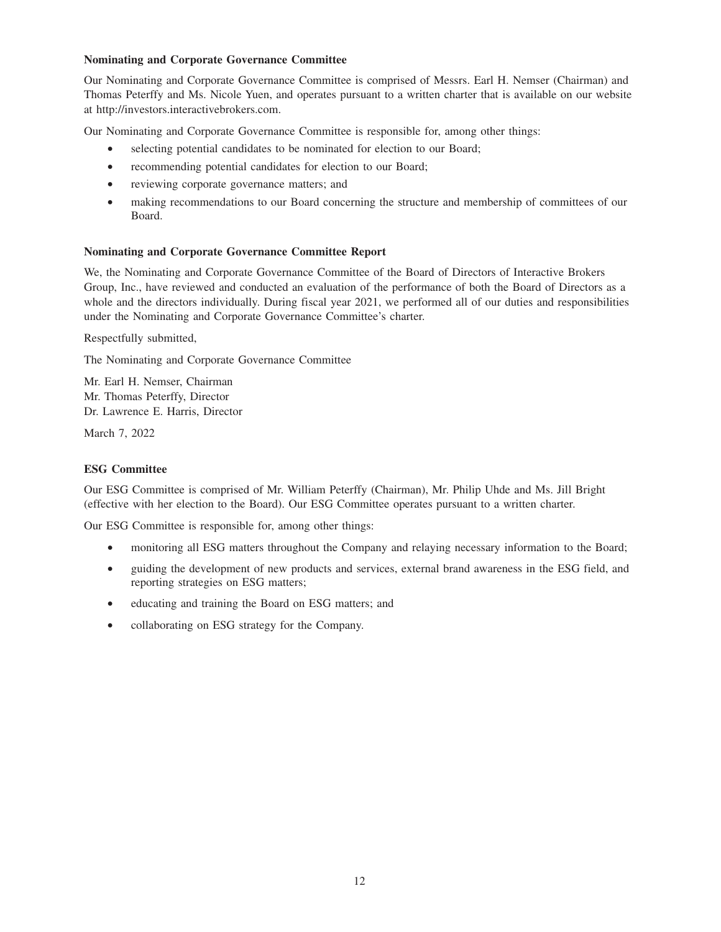### **Nominating and Corporate Governance Committee**

Our Nominating and Corporate Governance Committee is comprised of Messrs. Earl H. Nemser (Chairman) and Thomas Peterffy and Ms. Nicole Yuen, and operates pursuant to a written charter that is available on our website at http://investors.interactivebrokers.com.

Our Nominating and Corporate Governance Committee is responsible for, among other things:

- selecting potential candidates to be nominated for election to our Board;
- recommending potential candidates for election to our Board;
- reviewing corporate governance matters; and
- making recommendations to our Board concerning the structure and membership of committees of our Board.

## **Nominating and Corporate Governance Committee Report**

We, the Nominating and Corporate Governance Committee of the Board of Directors of Interactive Brokers Group, Inc., have reviewed and conducted an evaluation of the performance of both the Board of Directors as a whole and the directors individually. During fiscal year 2021, we performed all of our duties and responsibilities under the Nominating and Corporate Governance Committee's charter.

Respectfully submitted,

The Nominating and Corporate Governance Committee

Mr. Earl H. Nemser, Chairman Mr. Thomas Peterffy, Director Dr. Lawrence E. Harris, Director

March 7, 2022

## **ESG Committee**

Our ESG Committee is comprised of Mr. William Peterffy (Chairman), Mr. Philip Uhde and Ms. Jill Bright (effective with her election to the Board). Our ESG Committee operates pursuant to a written charter.

Our ESG Committee is responsible for, among other things:

- monitoring all ESG matters throughout the Company and relaying necessary information to the Board;
- guiding the development of new products and services, external brand awareness in the ESG field, and reporting strategies on ESG matters;
- educating and training the Board on ESG matters; and
- collaborating on ESG strategy for the Company.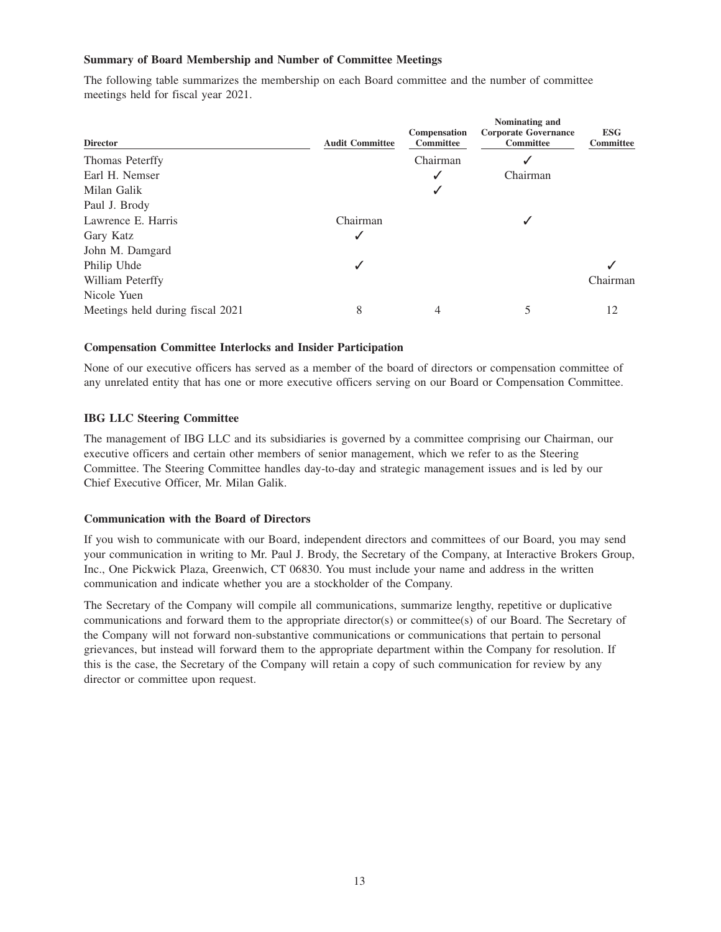#### **Summary of Board Membership and Number of Committee Meetings**

The following table summarizes the membership on each Board committee and the number of committee meetings held for fiscal year 2021.

|          | Compensation<br><b>Committee</b> | <b>Corporate Governance</b><br><b>Committee</b> | <b>ESG</b><br><b>Committee</b> |
|----------|----------------------------------|-------------------------------------------------|--------------------------------|
|          | Chairman                         |                                                 |                                |
|          |                                  | Chairman                                        |                                |
|          |                                  |                                                 |                                |
|          |                                  |                                                 |                                |
| Chairman |                                  |                                                 |                                |
| ✓        |                                  |                                                 |                                |
|          |                                  |                                                 |                                |
|          |                                  |                                                 |                                |
|          |                                  |                                                 | Chairman                       |
|          |                                  |                                                 |                                |
| 8        | 4                                | 5                                               | 12                             |
|          | <b>Audit Committee</b>           |                                                 | Nominating and                 |

#### **Compensation Committee Interlocks and Insider Participation**

None of our executive officers has served as a member of the board of directors or compensation committee of any unrelated entity that has one or more executive officers serving on our Board or Compensation Committee.

## **IBG LLC Steering Committee**

The management of IBG LLC and its subsidiaries is governed by a committee comprising our Chairman, our executive officers and certain other members of senior management, which we refer to as the Steering Committee. The Steering Committee handles day-to-day and strategic management issues and is led by our Chief Executive Officer, Mr. Milan Galik.

#### **Communication with the Board of Directors**

If you wish to communicate with our Board, independent directors and committees of our Board, you may send your communication in writing to Mr. Paul J. Brody, the Secretary of the Company, at Interactive Brokers Group, Inc., One Pickwick Plaza, Greenwich, CT 06830. You must include your name and address in the written communication and indicate whether you are a stockholder of the Company.

The Secretary of the Company will compile all communications, summarize lengthy, repetitive or duplicative communications and forward them to the appropriate director(s) or committee(s) of our Board. The Secretary of the Company will not forward non-substantive communications or communications that pertain to personal grievances, but instead will forward them to the appropriate department within the Company for resolution. If this is the case, the Secretary of the Company will retain a copy of such communication for review by any director or committee upon request.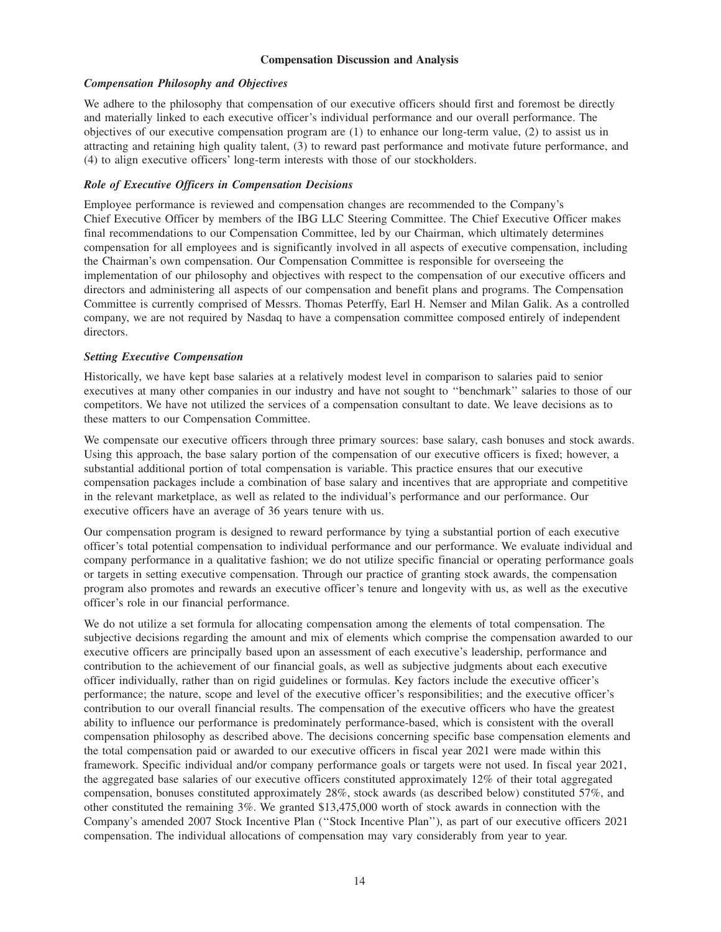## **Compensation Discussion and Analysis**

## *Compensation Philosophy and Objectives*

We adhere to the philosophy that compensation of our executive officers should first and foremost be directly and materially linked to each executive officer's individual performance and our overall performance. The objectives of our executive compensation program are (1) to enhance our long-term value, (2) to assist us in attracting and retaining high quality talent, (3) to reward past performance and motivate future performance, and (4) to align executive officers' long-term interests with those of our stockholders.

## *Role of Executive Officers in Compensation Decisions*

Employee performance is reviewed and compensation changes are recommended to the Company's Chief Executive Officer by members of the IBG LLC Steering Committee. The Chief Executive Officer makes final recommendations to our Compensation Committee, led by our Chairman, which ultimately determines compensation for all employees and is significantly involved in all aspects of executive compensation, including the Chairman's own compensation. Our Compensation Committee is responsible for overseeing the implementation of our philosophy and objectives with respect to the compensation of our executive officers and directors and administering all aspects of our compensation and benefit plans and programs. The Compensation Committee is currently comprised of Messrs. Thomas Peterffy, Earl H. Nemser and Milan Galik. As a controlled company, we are not required by Nasdaq to have a compensation committee composed entirely of independent directors.

### *Setting Executive Compensation*

Historically, we have kept base salaries at a relatively modest level in comparison to salaries paid to senior executives at many other companies in our industry and have not sought to ''benchmark'' salaries to those of our competitors. We have not utilized the services of a compensation consultant to date. We leave decisions as to these matters to our Compensation Committee.

We compensate our executive officers through three primary sources: base salary, cash bonuses and stock awards. Using this approach, the base salary portion of the compensation of our executive officers is fixed; however, a substantial additional portion of total compensation is variable. This practice ensures that our executive compensation packages include a combination of base salary and incentives that are appropriate and competitive in the relevant marketplace, as well as related to the individual's performance and our performance. Our executive officers have an average of 36 years tenure with us.

Our compensation program is designed to reward performance by tying a substantial portion of each executive officer's total potential compensation to individual performance and our performance. We evaluate individual and company performance in a qualitative fashion; we do not utilize specific financial or operating performance goals or targets in setting executive compensation. Through our practice of granting stock awards, the compensation program also promotes and rewards an executive officer's tenure and longevity with us, as well as the executive officer's role in our financial performance.

We do not utilize a set formula for allocating compensation among the elements of total compensation. The subjective decisions regarding the amount and mix of elements which comprise the compensation awarded to our executive officers are principally based upon an assessment of each executive's leadership, performance and contribution to the achievement of our financial goals, as well as subjective judgments about each executive officer individually, rather than on rigid guidelines or formulas. Key factors include the executive officer's performance; the nature, scope and level of the executive officer's responsibilities; and the executive officer's contribution to our overall financial results. The compensation of the executive officers who have the greatest ability to influence our performance is predominately performance-based, which is consistent with the overall compensation philosophy as described above. The decisions concerning specific base compensation elements and the total compensation paid or awarded to our executive officers in fiscal year 2021 were made within this framework. Specific individual and/or company performance goals or targets were not used. In fiscal year 2021, the aggregated base salaries of our executive officers constituted approximately 12% of their total aggregated compensation, bonuses constituted approximately 28%, stock awards (as described below) constituted 57%, and other constituted the remaining 3%. We granted \$13,475,000 worth of stock awards in connection with the Company's amended 2007 Stock Incentive Plan (''Stock Incentive Plan''), as part of our executive officers 2021 compensation. The individual allocations of compensation may vary considerably from year to year.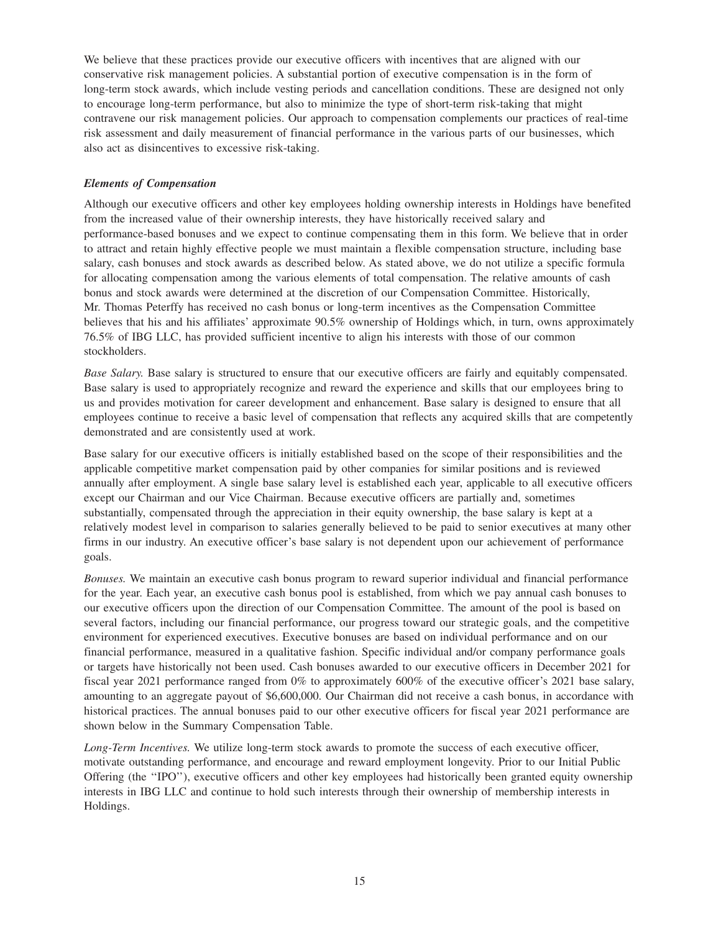We believe that these practices provide our executive officers with incentives that are aligned with our conservative risk management policies. A substantial portion of executive compensation is in the form of long-term stock awards, which include vesting periods and cancellation conditions. These are designed not only to encourage long-term performance, but also to minimize the type of short-term risk-taking that might contravene our risk management policies. Our approach to compensation complements our practices of real-time risk assessment and daily measurement of financial performance in the various parts of our businesses, which also act as disincentives to excessive risk-taking.

## *Elements of Compensation*

Although our executive officers and other key employees holding ownership interests in Holdings have benefited from the increased value of their ownership interests, they have historically received salary and performance-based bonuses and we expect to continue compensating them in this form. We believe that in order to attract and retain highly effective people we must maintain a flexible compensation structure, including base salary, cash bonuses and stock awards as described below. As stated above, we do not utilize a specific formula for allocating compensation among the various elements of total compensation. The relative amounts of cash bonus and stock awards were determined at the discretion of our Compensation Committee. Historically, Mr. Thomas Peterffy has received no cash bonus or long-term incentives as the Compensation Committee believes that his and his affiliates' approximate 90.5% ownership of Holdings which, in turn, owns approximately 76.5% of IBG LLC, has provided sufficient incentive to align his interests with those of our common stockholders.

*Base Salary.* Base salary is structured to ensure that our executive officers are fairly and equitably compensated. Base salary is used to appropriately recognize and reward the experience and skills that our employees bring to us and provides motivation for career development and enhancement. Base salary is designed to ensure that all employees continue to receive a basic level of compensation that reflects any acquired skills that are competently demonstrated and are consistently used at work.

Base salary for our executive officers is initially established based on the scope of their responsibilities and the applicable competitive market compensation paid by other companies for similar positions and is reviewed annually after employment. A single base salary level is established each year, applicable to all executive officers except our Chairman and our Vice Chairman. Because executive officers are partially and, sometimes substantially, compensated through the appreciation in their equity ownership, the base salary is kept at a relatively modest level in comparison to salaries generally believed to be paid to senior executives at many other firms in our industry. An executive officer's base salary is not dependent upon our achievement of performance goals.

*Bonuses.* We maintain an executive cash bonus program to reward superior individual and financial performance for the year. Each year, an executive cash bonus pool is established, from which we pay annual cash bonuses to our executive officers upon the direction of our Compensation Committee. The amount of the pool is based on several factors, including our financial performance, our progress toward our strategic goals, and the competitive environment for experienced executives. Executive bonuses are based on individual performance and on our financial performance, measured in a qualitative fashion. Specific individual and/or company performance goals or targets have historically not been used. Cash bonuses awarded to our executive officers in December 2021 for fiscal year 2021 performance ranged from 0% to approximately 600% of the executive officer's 2021 base salary, amounting to an aggregate payout of \$6,600,000. Our Chairman did not receive a cash bonus, in accordance with historical practices. The annual bonuses paid to our other executive officers for fiscal year 2021 performance are shown below in the Summary Compensation Table.

*Long-Term Incentives.* We utilize long-term stock awards to promote the success of each executive officer, motivate outstanding performance, and encourage and reward employment longevity. Prior to our Initial Public Offering (the ''IPO''), executive officers and other key employees had historically been granted equity ownership interests in IBG LLC and continue to hold such interests through their ownership of membership interests in Holdings.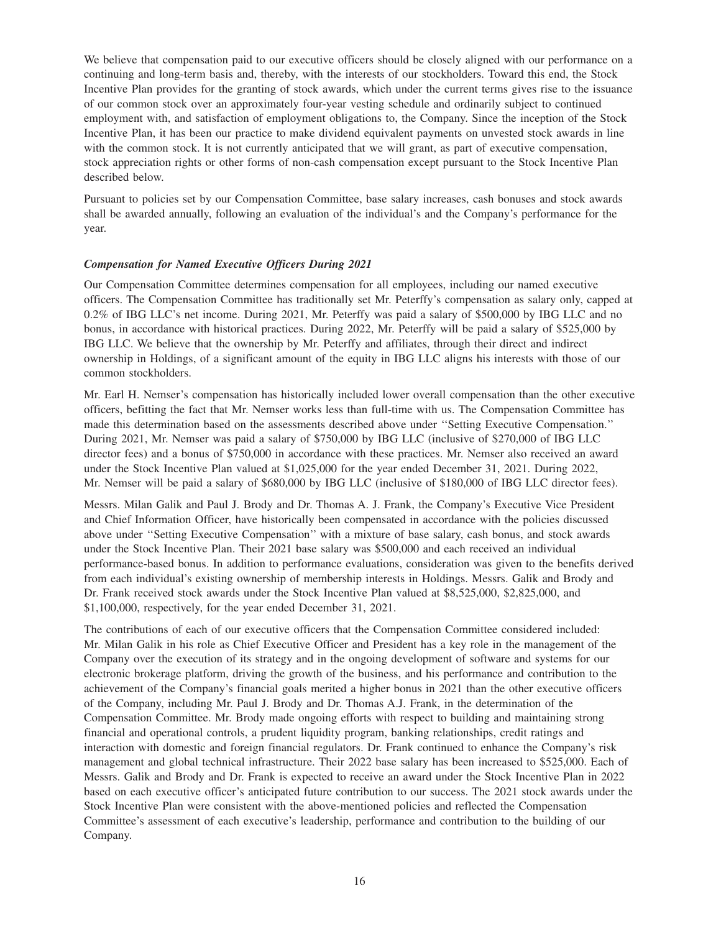We believe that compensation paid to our executive officers should be closely aligned with our performance on a continuing and long-term basis and, thereby, with the interests of our stockholders. Toward this end, the Stock Incentive Plan provides for the granting of stock awards, which under the current terms gives rise to the issuance of our common stock over an approximately four-year vesting schedule and ordinarily subject to continued employment with, and satisfaction of employment obligations to, the Company. Since the inception of the Stock Incentive Plan, it has been our practice to make dividend equivalent payments on unvested stock awards in line with the common stock. It is not currently anticipated that we will grant, as part of executive compensation, stock appreciation rights or other forms of non-cash compensation except pursuant to the Stock Incentive Plan described below.

Pursuant to policies set by our Compensation Committee, base salary increases, cash bonuses and stock awards shall be awarded annually, following an evaluation of the individual's and the Company's performance for the year.

#### *Compensation for Named Executive Officers During 2021*

Our Compensation Committee determines compensation for all employees, including our named executive officers. The Compensation Committee has traditionally set Mr. Peterffy's compensation as salary only, capped at 0.2% of IBG LLC's net income. During 2021, Mr. Peterffy was paid a salary of \$500,000 by IBG LLC and no bonus, in accordance with historical practices. During 2022, Mr. Peterffy will be paid a salary of \$525,000 by IBG LLC. We believe that the ownership by Mr. Peterffy and affiliates, through their direct and indirect ownership in Holdings, of a significant amount of the equity in IBG LLC aligns his interests with those of our common stockholders.

Mr. Earl H. Nemser's compensation has historically included lower overall compensation than the other executive officers, befitting the fact that Mr. Nemser works less than full-time with us. The Compensation Committee has made this determination based on the assessments described above under ''Setting Executive Compensation.'' During 2021, Mr. Nemser was paid a salary of \$750,000 by IBG LLC (inclusive of \$270,000 of IBG LLC director fees) and a bonus of \$750,000 in accordance with these practices. Mr. Nemser also received an award under the Stock Incentive Plan valued at \$1,025,000 for the year ended December 31, 2021. During 2022, Mr. Nemser will be paid a salary of \$680,000 by IBG LLC (inclusive of \$180,000 of IBG LLC director fees).

Messrs. Milan Galik and Paul J. Brody and Dr. Thomas A. J. Frank, the Company's Executive Vice President and Chief Information Officer, have historically been compensated in accordance with the policies discussed above under ''Setting Executive Compensation'' with a mixture of base salary, cash bonus, and stock awards under the Stock Incentive Plan. Their 2021 base salary was \$500,000 and each received an individual performance-based bonus. In addition to performance evaluations, consideration was given to the benefits derived from each individual's existing ownership of membership interests in Holdings. Messrs. Galik and Brody and Dr. Frank received stock awards under the Stock Incentive Plan valued at \$8,525,000, \$2,825,000, and \$1,100,000, respectively, for the year ended December 31, 2021.

The contributions of each of our executive officers that the Compensation Committee considered included: Mr. Milan Galik in his role as Chief Executive Officer and President has a key role in the management of the Company over the execution of its strategy and in the ongoing development of software and systems for our electronic brokerage platform, driving the growth of the business, and his performance and contribution to the achievement of the Company's financial goals merited a higher bonus in 2021 than the other executive officers of the Company, including Mr. Paul J. Brody and Dr. Thomas A.J. Frank, in the determination of the Compensation Committee. Mr. Brody made ongoing efforts with respect to building and maintaining strong financial and operational controls, a prudent liquidity program, banking relationships, credit ratings and interaction with domestic and foreign financial regulators. Dr. Frank continued to enhance the Company's risk management and global technical infrastructure. Their 2022 base salary has been increased to \$525,000. Each of Messrs. Galik and Brody and Dr. Frank is expected to receive an award under the Stock Incentive Plan in 2022 based on each executive officer's anticipated future contribution to our success. The 2021 stock awards under the Stock Incentive Plan were consistent with the above-mentioned policies and reflected the Compensation Committee's assessment of each executive's leadership, performance and contribution to the building of our Company.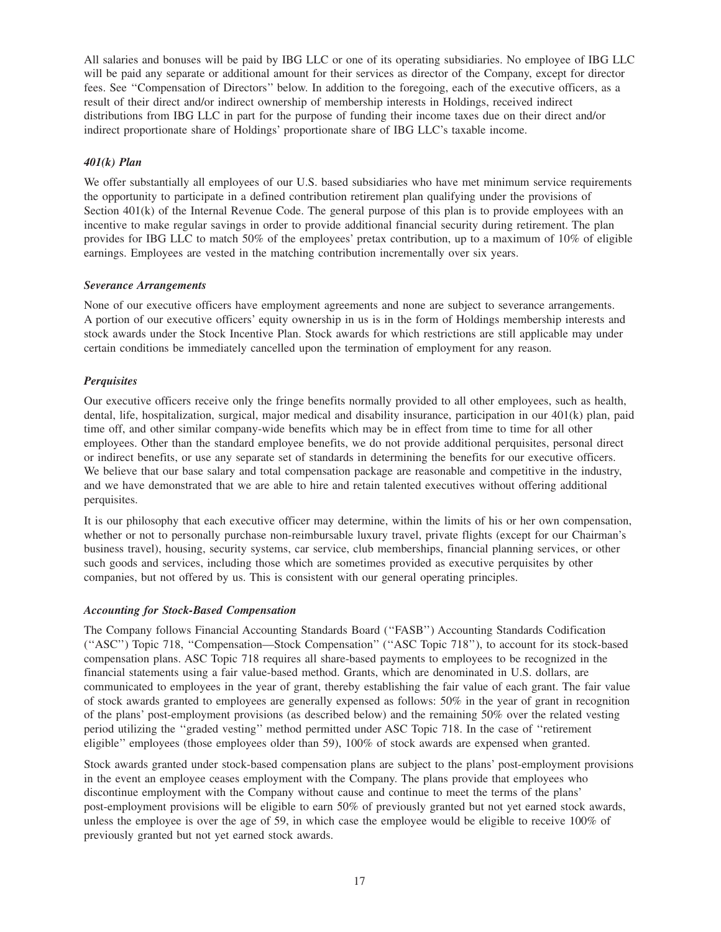All salaries and bonuses will be paid by IBG LLC or one of its operating subsidiaries. No employee of IBG LLC will be paid any separate or additional amount for their services as director of the Company, except for director fees. See ''Compensation of Directors'' below. In addition to the foregoing, each of the executive officers, as a result of their direct and/or indirect ownership of membership interests in Holdings, received indirect distributions from IBG LLC in part for the purpose of funding their income taxes due on their direct and/or indirect proportionate share of Holdings' proportionate share of IBG LLC's taxable income.

## *401(k) Plan*

We offer substantially all employees of our U.S. based subsidiaries who have met minimum service requirements the opportunity to participate in a defined contribution retirement plan qualifying under the provisions of Section 401(k) of the Internal Revenue Code. The general purpose of this plan is to provide employees with an incentive to make regular savings in order to provide additional financial security during retirement. The plan provides for IBG LLC to match 50% of the employees' pretax contribution, up to a maximum of 10% of eligible earnings. Employees are vested in the matching contribution incrementally over six years.

### *Severance Arrangements*

None of our executive officers have employment agreements and none are subject to severance arrangements. A portion of our executive officers' equity ownership in us is in the form of Holdings membership interests and stock awards under the Stock Incentive Plan. Stock awards for which restrictions are still applicable may under certain conditions be immediately cancelled upon the termination of employment for any reason.

## *Perquisites*

Our executive officers receive only the fringe benefits normally provided to all other employees, such as health, dental, life, hospitalization, surgical, major medical and disability insurance, participation in our 401(k) plan, paid time off, and other similar company-wide benefits which may be in effect from time to time for all other employees. Other than the standard employee benefits, we do not provide additional perquisites, personal direct or indirect benefits, or use any separate set of standards in determining the benefits for our executive officers. We believe that our base salary and total compensation package are reasonable and competitive in the industry, and we have demonstrated that we are able to hire and retain talented executives without offering additional perquisites.

It is our philosophy that each executive officer may determine, within the limits of his or her own compensation, whether or not to personally purchase non-reimbursable luxury travel, private flights (except for our Chairman's business travel), housing, security systems, car service, club memberships, financial planning services, or other such goods and services, including those which are sometimes provided as executive perquisites by other companies, but not offered by us. This is consistent with our general operating principles.

## *Accounting for Stock-Based Compensation*

The Company follows Financial Accounting Standards Board (''FASB'') Accounting Standards Codification (''ASC'') Topic 718, ''Compensation—Stock Compensation'' (''ASC Topic 718''), to account for its stock-based compensation plans. ASC Topic 718 requires all share-based payments to employees to be recognized in the financial statements using a fair value-based method. Grants, which are denominated in U.S. dollars, are communicated to employees in the year of grant, thereby establishing the fair value of each grant. The fair value of stock awards granted to employees are generally expensed as follows: 50% in the year of grant in recognition of the plans' post-employment provisions (as described below) and the remaining 50% over the related vesting period utilizing the ''graded vesting'' method permitted under ASC Topic 718. In the case of ''retirement eligible'' employees (those employees older than 59), 100% of stock awards are expensed when granted.

Stock awards granted under stock-based compensation plans are subject to the plans' post-employment provisions in the event an employee ceases employment with the Company. The plans provide that employees who discontinue employment with the Company without cause and continue to meet the terms of the plans' post-employment provisions will be eligible to earn 50% of previously granted but not yet earned stock awards, unless the employee is over the age of 59, in which case the employee would be eligible to receive 100% of previously granted but not yet earned stock awards.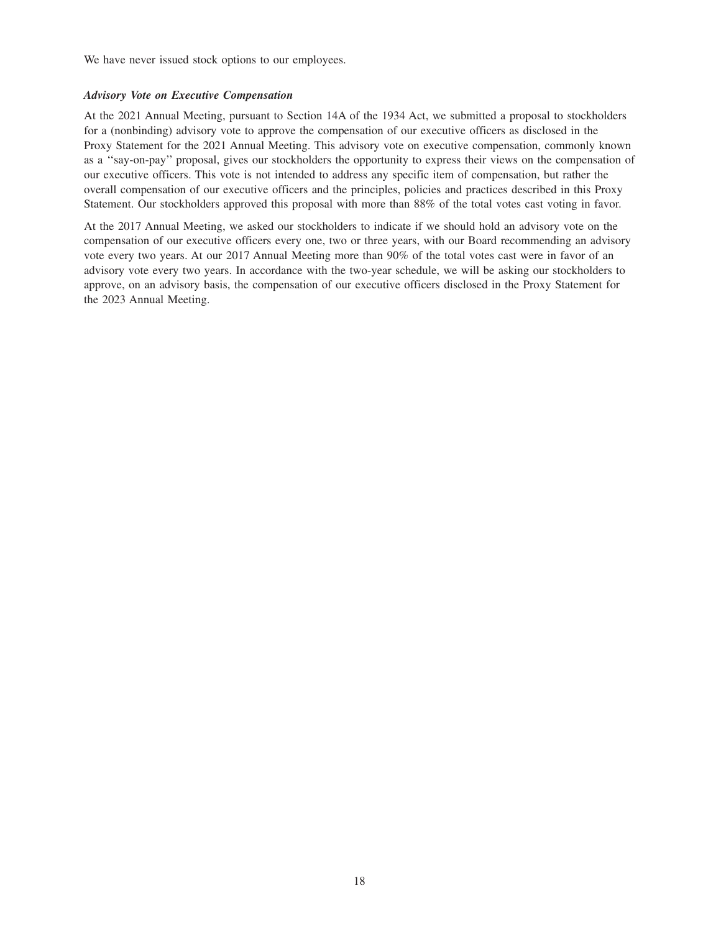We have never issued stock options to our employees.

#### *Advisory Vote on Executive Compensation*

At the 2021 Annual Meeting, pursuant to Section 14A of the 1934 Act, we submitted a proposal to stockholders for a (nonbinding) advisory vote to approve the compensation of our executive officers as disclosed in the Proxy Statement for the 2021 Annual Meeting. This advisory vote on executive compensation, commonly known as a ''say-on-pay'' proposal, gives our stockholders the opportunity to express their views on the compensation of our executive officers. This vote is not intended to address any specific item of compensation, but rather the overall compensation of our executive officers and the principles, policies and practices described in this Proxy Statement. Our stockholders approved this proposal with more than 88% of the total votes cast voting in favor.

At the 2017 Annual Meeting, we asked our stockholders to indicate if we should hold an advisory vote on the compensation of our executive officers every one, two or three years, with our Board recommending an advisory vote every two years. At our 2017 Annual Meeting more than 90% of the total votes cast were in favor of an advisory vote every two years. In accordance with the two-year schedule, we will be asking our stockholders to approve, on an advisory basis, the compensation of our executive officers disclosed in the Proxy Statement for the 2023 Annual Meeting.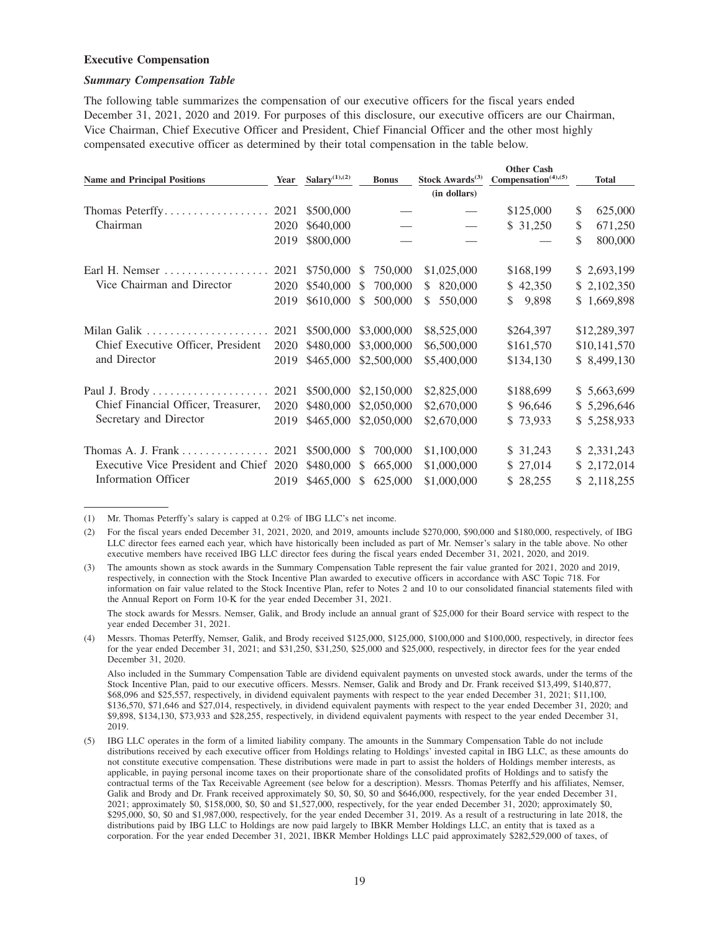#### **Executive Compensation**

#### *Summary Compensation Table*

The following table summarizes the compensation of our executive officers for the fiscal years ended December 31, 2021, 2020 and 2019. For purposes of this disclosure, our executive officers are our Chairman, Vice Chairman, Chief Executive Officer and President, Chief Financial Officer and the other most highly compensated executive officer as determined by their total compensation in the table below.

| <b>Name and Principal Positions</b> | Year | Salary $(1)$ , $(2)$ | <b>Bonus</b>             | Stock Awards $(3)$ | <b>Other Cash</b><br>Compensation <sup>(4),(5)</sup> | <b>Total</b>  |
|-------------------------------------|------|----------------------|--------------------------|--------------------|------------------------------------------------------|---------------|
|                                     |      |                      |                          | (in dollars)       |                                                      |               |
| Thomas Peterffy                     | 2021 | \$500,000            |                          |                    | \$125,000                                            | \$<br>625,000 |
| Chairman                            | 2020 | \$640,000            |                          |                    | \$31,250                                             | \$<br>671,250 |
|                                     | 2019 | \$800,000            |                          |                    |                                                      | \$<br>800,000 |
| Earl H. Nemser                      | 2021 | \$750,000            | 750,000<br>\$            | \$1,025,000        | \$168,199                                            | \$2,693,199   |
| Vice Chairman and Director          | 2020 | \$540,000            | 700,000<br><sup>\$</sup> | 820,000<br>S.      | \$42,350                                             | \$2,102,350   |
|                                     | 2019 | \$610,000            | \$<br>500,000            | 550,000<br>S.      | \$<br>9,898                                          | \$1,669,898   |
|                                     | 2021 | \$500,000            | \$3,000,000              | \$8,525,000        | \$264,397                                            | \$12,289,397  |
| Chief Executive Officer, President  | 2020 | \$480,000            | \$3,000,000              | \$6,500,000        | \$161,570                                            | \$10,141,570  |
| and Director                        | 2019 | \$465,000            | \$2,500,000              | \$5,400,000        | \$134,130                                            | \$ 8,499,130  |
|                                     | 2021 | \$500,000            | \$2,150,000              | \$2,825,000        | \$188,699                                            | \$5,663,699   |
| Chief Financial Officer, Treasurer, | 2020 | \$480,000            | \$2,050,000              | \$2,670,000        | \$96,646                                             | \$5,296,646   |
| Secretary and Director              | 2019 | \$465,000            | \$2,050,000              | \$2,670,000        | \$73,933                                             | \$5,258,933   |
| Thomas A. J. Frank                  | 2021 | \$500,000            | 700,000<br><sup>\$</sup> | \$1,100,000        | \$31,243                                             | \$2,331,243   |
| Executive Vice President and Chief  | 2020 | \$480,000            | 665,000<br>S             | \$1,000,000        | \$27,014                                             | \$2,172,014   |
| <b>Information Officer</b>          | 2019 | \$465,000            | 625,000<br><sup>\$</sup> | \$1,000,000        | \$28,255                                             | \$2,118,255   |

(1) Mr. Thomas Peterffy's salary is capped at 0.2% of IBG LLC's net income.

The stock awards for Messrs. Nemser, Galik, and Brody include an annual grant of \$25,000 for their Board service with respect to the year ended December 31, 2021.

(4) Messrs. Thomas Peterffy, Nemser, Galik, and Brody received \$125,000, \$125,000, \$100,000 and \$100,000, respectively, in director fees for the year ended December 31, 2021; and \$31,250, \$31,250, \$25,000 and \$25,000, respectively, in director fees for the year ended December 31, 2020.

Also included in the Summary Compensation Table are dividend equivalent payments on unvested stock awards, under the terms of the Stock Incentive Plan, paid to our executive officers. Messrs. Nemser, Galik and Brody and Dr. Frank received \$13,499, \$140,877, \$68,096 and \$25,557, respectively, in dividend equivalent payments with respect to the year ended December 31, 2021; \$11,100, \$136,570, \$71,646 and \$27,014, respectively, in dividend equivalent payments with respect to the year ended December 31, 2020; and \$9,898, \$134,130, \$73,933 and \$28,255, respectively, in dividend equivalent payments with respect to the year ended December 31, 2019.

<sup>(2)</sup> For the fiscal years ended December 31, 2021, 2020, and 2019, amounts include \$270,000, \$90,000 and \$180,000, respectively, of IBG LLC director fees earned each year, which have historically been included as part of Mr. Nemser's salary in the table above. No other executive members have received IBG LLC director fees during the fiscal years ended December 31, 2021, 2020, and 2019.

<sup>(3)</sup> The amounts shown as stock awards in the Summary Compensation Table represent the fair value granted for 2021, 2020 and 2019, respectively, in connection with the Stock Incentive Plan awarded to executive officers in accordance with ASC Topic 718. For information on fair value related to the Stock Incentive Plan, refer to Notes 2 and 10 to our consolidated financial statements filed with the Annual Report on Form 10-K for the year ended December 31, 2021.

<sup>(5)</sup> IBG LLC operates in the form of a limited liability company. The amounts in the Summary Compensation Table do not include distributions received by each executive officer from Holdings relating to Holdings' invested capital in IBG LLC, as these amounts do not constitute executive compensation. These distributions were made in part to assist the holders of Holdings member interests, as applicable, in paying personal income taxes on their proportionate share of the consolidated profits of Holdings and to satisfy the contractual terms of the Tax Receivable Agreement (see below for a description). Messrs. Thomas Peterffy and his affiliates, Nemser, Galik and Brody and Dr. Frank received approximately \$0, \$0, \$0, \$0 and \$646,000, respectively, for the year ended December 31, 2021; approximately \$0, \$158,000, \$0, \$0 and \$1,527,000, respectively, for the year ended December 31, 2020; approximately \$0, \$295,000, \$0, \$0 and \$1,987,000, respectively, for the year ended December 31, 2019. As a result of a restructuring in late 2018, the distributions paid by IBG LLC to Holdings are now paid largely to IBKR Member Holdings LLC, an entity that is taxed as a corporation. For the year ended December 31, 2021, IBKR Member Holdings LLC paid approximately \$282,529,000 of taxes, of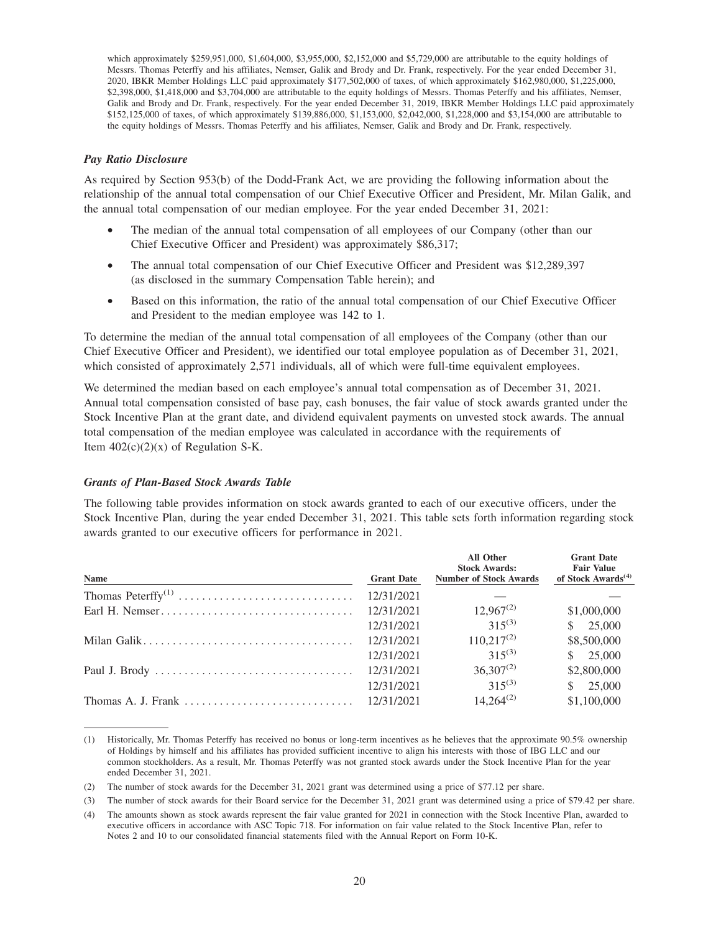which approximately \$259,951,000, \$1,604,000, \$3,955,000, \$2,152,000 and \$5,729,000 are attributable to the equity holdings of Messrs. Thomas Peterffy and his affiliates, Nemser, Galik and Brody and Dr. Frank, respectively. For the year ended December 31, 2020, IBKR Member Holdings LLC paid approximately \$177,502,000 of taxes, of which approximately \$162,980,000, \$1,225,000, \$2,398,000, \$1,418,000 and \$3,704,000 are attributable to the equity holdings of Messrs. Thomas Peterffy and his affiliates, Nemser, Galik and Brody and Dr. Frank, respectively. For the year ended December 31, 2019, IBKR Member Holdings LLC paid approximately \$152,125,000 of taxes, of which approximately \$139,886,000, \$1,153,000, \$2,042,000, \$1,228,000 and \$3,154,000 are attributable to the equity holdings of Messrs. Thomas Peterffy and his affiliates, Nemser, Galik and Brody and Dr. Frank, respectively.

### *Pay Ratio Disclosure*

As required by Section 953(b) of the Dodd-Frank Act, we are providing the following information about the relationship of the annual total compensation of our Chief Executive Officer and President, Mr. Milan Galik, and the annual total compensation of our median employee. For the year ended December 31, 2021:

- The median of the annual total compensation of all employees of our Company (other than our Chief Executive Officer and President) was approximately \$86,317;
- The annual total compensation of our Chief Executive Officer and President was \$12,289,397 (as disclosed in the summary Compensation Table herein); and
- Based on this information, the ratio of the annual total compensation of our Chief Executive Officer and President to the median employee was 142 to 1.

To determine the median of the annual total compensation of all employees of the Company (other than our Chief Executive Officer and President), we identified our total employee population as of December 31, 2021, which consisted of approximately 2,571 individuals, all of which were full-time equivalent employees.

We determined the median based on each employee's annual total compensation as of December 31, 2021. Annual total compensation consisted of base pay, cash bonuses, the fair value of stock awards granted under the Stock Incentive Plan at the grant date, and dividend equivalent payments on unvested stock awards. The annual total compensation of the median employee was calculated in accordance with the requirements of Item  $402(c)(2)(x)$  of Regulation S-K.

## *Grants of Plan-Based Stock Awards Table*

The following table provides information on stock awards granted to each of our executive officers, under the Stock Incentive Plan, during the year ended December 31, 2021. This table sets forth information regarding stock awards granted to our executive officers for performance in 2021.

| <b>Name</b>                                                                  | <b>Grant Date</b> | <b>All Other</b><br><b>Stock Awards:</b><br><b>Number of Stock Awards</b> | <b>Grant Date</b><br><b>Fair Value</b><br>of Stock Awards <sup><math>(4)</math></sup> |
|------------------------------------------------------------------------------|-------------------|---------------------------------------------------------------------------|---------------------------------------------------------------------------------------|
|                                                                              | 12/31/2021        |                                                                           |                                                                                       |
|                                                                              | 12/31/2021        | $12,967^{(2)}$                                                            | \$1,000,000                                                                           |
|                                                                              | 12/31/2021        | $315^{(3)}$                                                               | \$ 25,000                                                                             |
|                                                                              | 12/31/2021        | $110,217^{(2)}$                                                           | \$8,500,000                                                                           |
|                                                                              | 12/31/2021        | $315^{(3)}$                                                               | \$ 25,000                                                                             |
|                                                                              | 12/31/2021        | $36,307^{(2)}$                                                            | \$2,800,000                                                                           |
|                                                                              | 12/31/2021        | $315^{(3)}$                                                               | \$ 25,000                                                                             |
| Thomas A. J. Frank $\ldots \ldots \ldots \ldots \ldots \ldots \ldots \ldots$ | 12/31/2021        | $14.264^{(2)}$                                                            | \$1,100,000                                                                           |

<sup>(1)</sup> Historically, Mr. Thomas Peterffy has received no bonus or long-term incentives as he believes that the approximate 90.5% ownership of Holdings by himself and his affiliates has provided sufficient incentive to align his interests with those of IBG LLC and our common stockholders. As a result, Mr. Thomas Peterffy was not granted stock awards under the Stock Incentive Plan for the year ended December 31, 2021.

<sup>(2)</sup> The number of stock awards for the December 31, 2021 grant was determined using a price of \$77.12 per share.

<sup>(3)</sup> The number of stock awards for their Board service for the December 31, 2021 grant was determined using a price of \$79.42 per share.

<sup>(4)</sup> The amounts shown as stock awards represent the fair value granted for 2021 in connection with the Stock Incentive Plan, awarded to executive officers in accordance with ASC Topic 718. For information on fair value related to the Stock Incentive Plan, refer to Notes 2 and 10 to our consolidated financial statements filed with the Annual Report on Form 10-K.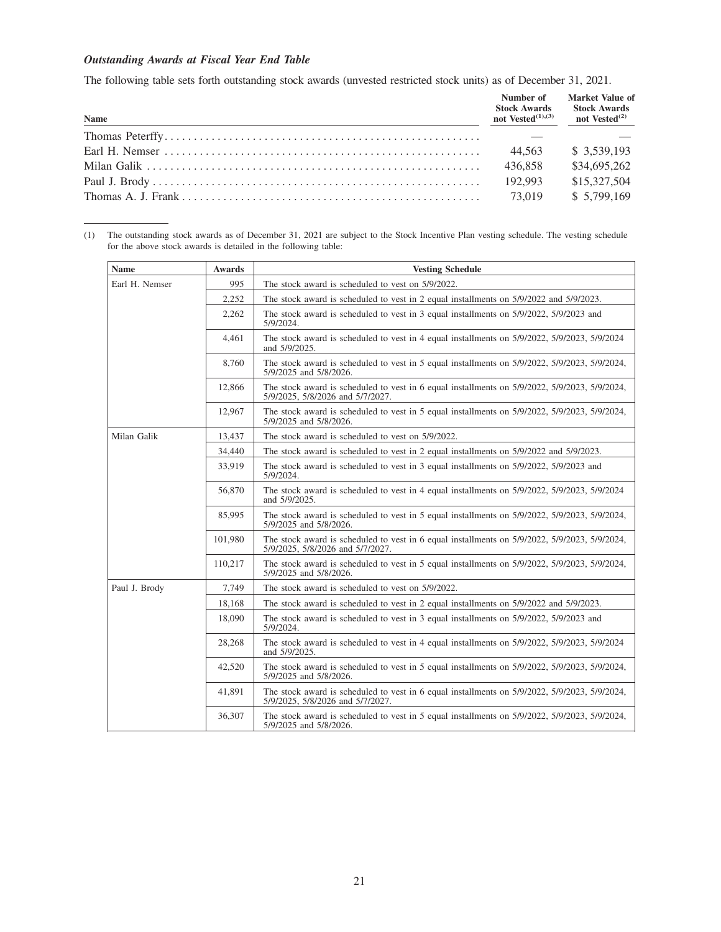## *Outstanding Awards at Fiscal Year End Table*

The following table sets forth outstanding stock awards (unvested restricted stock units) as of December 31, 2021.

| Name | Number of<br><b>Stock Awards</b><br>not Vested $(1),(3)$ | Market Value of<br><b>Stock Awards</b><br>not Vested $^{(2)}$ |
|------|----------------------------------------------------------|---------------------------------------------------------------|
|      |                                                          |                                                               |
|      | 44.563                                                   | \$3,539,193                                                   |
|      | 436,858                                                  | \$34,695,262                                                  |
|      | 192,993                                                  | \$15,327,504                                                  |
|      | 73.019                                                   | \$5,799,169                                                   |

(1) The outstanding stock awards as of December 31, 2021 are subject to the Stock Incentive Plan vesting schedule. The vesting schedule for the above stock awards is detailed in the following table:

| <b>Name</b>    | <b>Awards</b> | <b>Vesting Schedule</b>                                                                                                                    |
|----------------|---------------|--------------------------------------------------------------------------------------------------------------------------------------------|
| Earl H. Nemser | 995           | The stock award is scheduled to vest on 5/9/2022.                                                                                          |
|                | 2,252         | The stock award is scheduled to vest in 2 equal installments on $5/9/2022$ and $5/9/2023$ .                                                |
|                | 2,262         | The stock award is scheduled to vest in 3 equal installments on 5/9/2022, 5/9/2023 and<br>5/9/2024.                                        |
|                | 4,461         | The stock award is scheduled to vest in 4 equal installments on 5/9/2022, 5/9/2023, 5/9/2024<br>and 5/9/2025.                              |
|                | 8,760         | The stock award is scheduled to vest in 5 equal installments on $5/9/2022$ , $5/9/2023$ , $5/9/2024$ ,<br>5/9/2025 and 5/8/2026.           |
|                | 12,866        | The stock award is scheduled to vest in 6 equal installments on $5/9/2022$ , $5/9/2023$ , $5/9/2024$ ,<br>5/9/2025, 5/8/2026 and 5/7/2027. |
|                | 12,967        | The stock award is scheduled to vest in 5 equal installments on $5/9/2022$ , $5/9/2023$ , $5/9/2024$ ,<br>5/9/2025 and 5/8/2026.           |
| Milan Galik    | 13,437        | The stock award is scheduled to vest on 5/9/2022.                                                                                          |
|                | 34,440        | The stock award is scheduled to vest in 2 equal installments on $5/9/2022$ and $5/9/2023$ .                                                |
|                | 33,919        | The stock award is scheduled to vest in 3 equal installments on 5/9/2022, 5/9/2023 and<br>5/9/2024.                                        |
|                | 56,870        | The stock award is scheduled to vest in 4 equal installments on 5/9/2022, 5/9/2023, 5/9/2024<br>and 5/9/2025.                              |
|                | 85,995        | The stock award is scheduled to vest in 5 equal installments on $5/9/2022$ , $5/9/2023$ , $5/9/2024$ ,<br>5/9/2025 and 5/8/2026.           |
|                | 101.980       | The stock award is scheduled to vest in 6 equal installments on $5/9/2022$ , $5/9/2023$ , $5/9/2024$ ,<br>5/9/2025, 5/8/2026 and 5/7/2027. |
|                | 110,217       | The stock award is scheduled to vest in 5 equal installments on $5/9/2022$ , $5/9/2023$ , $5/9/2024$ ,<br>5/9/2025 and 5/8/2026.           |
| Paul J. Brody  | 7,749         | The stock award is scheduled to vest on 5/9/2022.                                                                                          |
|                | 18,168        | The stock award is scheduled to vest in 2 equal installments on $5/9/2022$ and $5/9/2023$ .                                                |
|                | 18,090        | The stock award is scheduled to vest in 3 equal installments on 5/9/2022, 5/9/2023 and<br>5/9/2024.                                        |
|                | 28,268        | The stock award is scheduled to vest in 4 equal installments on 5/9/2022, 5/9/2023, 5/9/2024<br>and 5/9/2025.                              |
|                | 42,520        | The stock award is scheduled to vest in 5 equal installments on $5/9/2022$ , $5/9/2023$ , $5/9/2024$ ,<br>5/9/2025 and 5/8/2026.           |
|                | 41,891        | The stock award is scheduled to vest in 6 equal installments on $5/9/2022$ , $5/9/2023$ , $5/9/2024$ ,<br>5/9/2025, 5/8/2026 and 5/7/2027. |
|                | 36,307        | The stock award is scheduled to vest in 5 equal installments on $5/9/2022$ , $5/9/2023$ , $5/9/2024$ ,<br>5/9/2025 and 5/8/2026.           |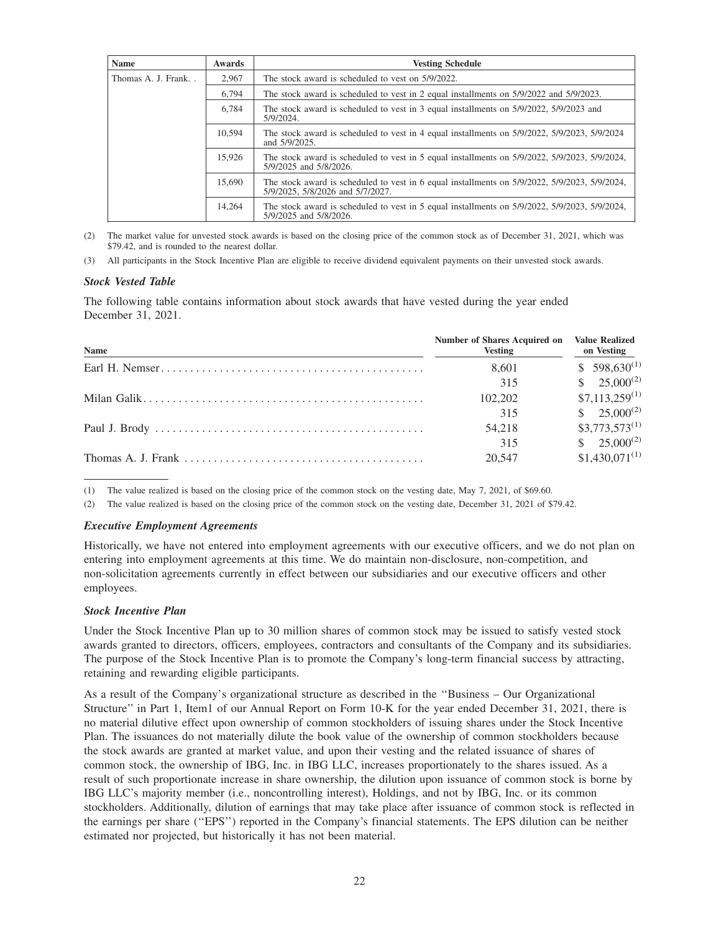| <b>Name</b>        | <b>Awards</b> | <b>Vesting Schedule</b>                                                                                                           |
|--------------------|---------------|-----------------------------------------------------------------------------------------------------------------------------------|
| Thomas A. J. Frank | 2.967         | The stock award is scheduled to vest on 5/9/2022.                                                                                 |
|                    | 6,794         | The stock award is scheduled to vest in 2 equal installments on 5/9/2022 and 5/9/2023.                                            |
|                    | 6.784         | The stock award is scheduled to vest in 3 equal installments on 5/9/2022, 5/9/2023 and<br>5/9/2024.                               |
|                    | 10,594        | The stock award is scheduled to vest in 4 equal installments on 5/9/2022, 5/9/2023, 5/9/2024<br>and $5/9/2025$ .                  |
|                    | 15.926        | The stock award is scheduled to vest in 5 equal installments on $5/9/2022$ , $5/9/2023$ , $5/9/2024$ ,<br>5/9/2025 and 5/8/2026.  |
|                    | 15,690        | The stock award is scheduled to vest in 6 equal installments on 5/9/2022, 5/9/2023, 5/9/2024,<br>5/9/2025, 5/8/2026 and 5/7/2027. |
|                    | 14.264        | The stock award is scheduled to vest in 5 equal installments on $5/9/2022$ , $5/9/2023$ , $5/9/2024$ ,<br>5/9/2025 and 5/8/2026.  |

The market value for unvested stock awards is based on the closing price of the common stock as of December 31, 2021, which was \$79.42, and is rounded to the nearest dollar.

(3) All participants in the Stock Incentive Plan are eligible to receive dividend equivalent payments on their unvested stock awards.

### *Stock Vested Table*

The following table contains information about stock awards that have vested during the year ended December 31, 2021.

| <b>Name</b> | <b>Number of Shares Acquired on</b><br><b>Vesting</b> | <b>Value Realized</b><br>on Vesting |
|-------------|-------------------------------------------------------|-------------------------------------|
|             | 8.601                                                 | $$598,630^{(1)}$                    |
|             | 315                                                   | $$25,000^{(2)}$$                    |
|             | 102,202                                               | $$7,113,259^{(1)}$                  |
|             | 315                                                   | $$25,000^{(2)}$                     |
|             | 54,218                                                | $$3,773,573^{(1)}$                  |
|             | 315                                                   | $$25,000^{(2)}$$                    |
|             | 20,547                                                | $$1,430,071^{(1)}$                  |

(1) The value realized is based on the closing price of the common stock on the vesting date, May 7, 2021, of \$69.60.

(2) The value realized is based on the closing price of the common stock on the vesting date, December 31, 2021 of \$79.42.

#### *Executive Employment Agreements*

Historically, we have not entered into employment agreements with our executive officers, and we do not plan on entering into employment agreements at this time. We do maintain non-disclosure, non-competition, and non-solicitation agreements currently in effect between our subsidiaries and our executive officers and other employees.

#### *Stock Incentive Plan*

Under the Stock Incentive Plan up to 30 million shares of common stock may be issued to satisfy vested stock awards granted to directors, officers, employees, contractors and consultants of the Company and its subsidiaries. The purpose of the Stock Incentive Plan is to promote the Company's long-term financial success by attracting, retaining and rewarding eligible participants.

As a result of the Company's organizational structure as described in the ''Business – Our Organizational Structure'' in Part 1, Item1 of our Annual Report on Form 10-K for the year ended December 31, 2021, there is no material dilutive effect upon ownership of common stockholders of issuing shares under the Stock Incentive Plan. The issuances do not materially dilute the book value of the ownership of common stockholders because the stock awards are granted at market value, and upon their vesting and the related issuance of shares of common stock, the ownership of IBG, Inc. in IBG LLC, increases proportionately to the shares issued. As a result of such proportionate increase in share ownership, the dilution upon issuance of common stock is borne by IBG LLC's majority member (i.e., noncontrolling interest), Holdings, and not by IBG, Inc. or its common stockholders. Additionally, dilution of earnings that may take place after issuance of common stock is reflected in the earnings per share (''EPS'') reported in the Company's financial statements. The EPS dilution can be neither estimated nor projected, but historically it has not been material.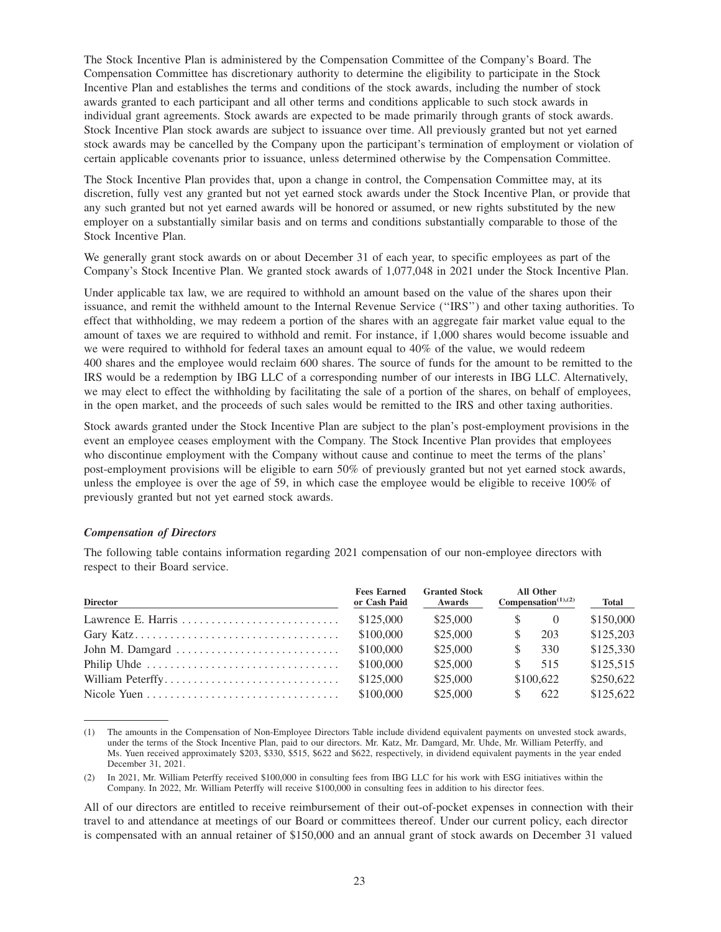The Stock Incentive Plan is administered by the Compensation Committee of the Company's Board. The Compensation Committee has discretionary authority to determine the eligibility to participate in the Stock Incentive Plan and establishes the terms and conditions of the stock awards, including the number of stock awards granted to each participant and all other terms and conditions applicable to such stock awards in individual grant agreements. Stock awards are expected to be made primarily through grants of stock awards. Stock Incentive Plan stock awards are subject to issuance over time. All previously granted but not yet earned stock awards may be cancelled by the Company upon the participant's termination of employment or violation of certain applicable covenants prior to issuance, unless determined otherwise by the Compensation Committee.

The Stock Incentive Plan provides that, upon a change in control, the Compensation Committee may, at its discretion, fully vest any granted but not yet earned stock awards under the Stock Incentive Plan, or provide that any such granted but not yet earned awards will be honored or assumed, or new rights substituted by the new employer on a substantially similar basis and on terms and conditions substantially comparable to those of the Stock Incentive Plan.

We generally grant stock awards on or about December 31 of each year, to specific employees as part of the Company's Stock Incentive Plan. We granted stock awards of 1,077,048 in 2021 under the Stock Incentive Plan.

Under applicable tax law, we are required to withhold an amount based on the value of the shares upon their issuance, and remit the withheld amount to the Internal Revenue Service (''IRS'') and other taxing authorities. To effect that withholding, we may redeem a portion of the shares with an aggregate fair market value equal to the amount of taxes we are required to withhold and remit. For instance, if 1,000 shares would become issuable and we were required to withhold for federal taxes an amount equal to 40% of the value, we would redeem 400 shares and the employee would reclaim 600 shares. The source of funds for the amount to be remitted to the IRS would be a redemption by IBG LLC of a corresponding number of our interests in IBG LLC. Alternatively, we may elect to effect the withholding by facilitating the sale of a portion of the shares, on behalf of employees, in the open market, and the proceeds of such sales would be remitted to the IRS and other taxing authorities.

Stock awards granted under the Stock Incentive Plan are subject to the plan's post-employment provisions in the event an employee ceases employment with the Company. The Stock Incentive Plan provides that employees who discontinue employment with the Company without cause and continue to meet the terms of the plans' post-employment provisions will be eligible to earn 50% of previously granted but not yet earned stock awards, unless the employee is over the age of 59, in which case the employee would be eligible to receive 100% of previously granted but not yet earned stock awards.

#### *Compensation of Directors*

The following table contains information regarding 2021 compensation of our non-employee directors with respect to their Board service.

| <b>Director</b>  | <b>Fees Earned</b><br>or Cash Paid | <b>Granted Stock</b><br>Awards | <b>All Other</b><br>Compensation <sup><math>(1),(2)</math></sup> |            | <b>Total</b> |  |
|------------------|------------------------------------|--------------------------------|------------------------------------------------------------------|------------|--------------|--|
|                  | \$125,000                          | \$25,000                       | <sup>S</sup>                                                     | $\bigcirc$ | \$150,000    |  |
|                  | \$100,000                          | \$25,000                       | S                                                                | 203        | \$125,203    |  |
|                  | \$100,000                          | \$25,000                       | S                                                                | 330        | \$125,330    |  |
|                  | \$100,000                          | \$25,000                       | SS.                                                              | 515        | \$125,515    |  |
| William Peterffy | \$125,000                          | \$25,000                       |                                                                  | \$100,622  | \$250,622    |  |
|                  | \$100,000                          | \$25,000                       |                                                                  | 622        | \$125,622    |  |

(1) The amounts in the Compensation of Non-Employee Directors Table include dividend equivalent payments on unvested stock awards, under the terms of the Stock Incentive Plan, paid to our directors. Mr. Katz, Mr. Damgard, Mr. Uhde, Mr. William Peterffy, and Ms. Yuen received approximately \$203, \$330, \$515, \$622 and \$622, respectively, in dividend equivalent payments in the year ended December 31, 2021.

(2) In 2021, Mr. William Peterffy received \$100,000 in consulting fees from IBG LLC for his work with ESG initiatives within the Company. In 2022, Mr. William Peterffy will receive \$100,000 in consulting fees in addition to his director fees.

All of our directors are entitled to receive reimbursement of their out-of-pocket expenses in connection with their travel to and attendance at meetings of our Board or committees thereof. Under our current policy, each director is compensated with an annual retainer of \$150,000 and an annual grant of stock awards on December 31 valued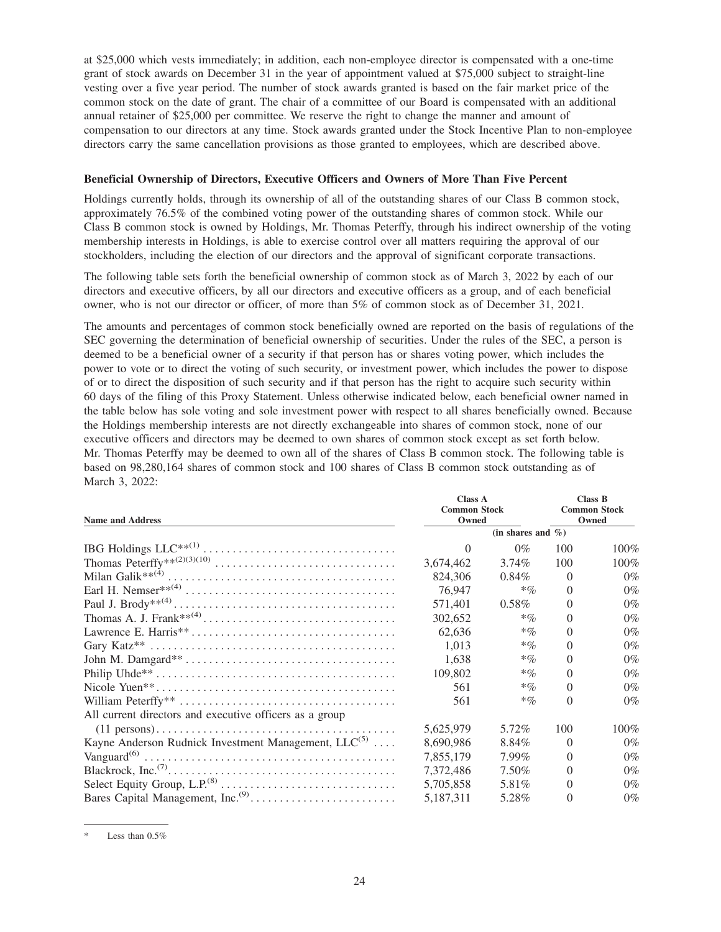at \$25,000 which vests immediately; in addition, each non-employee director is compensated with a one-time grant of stock awards on December 31 in the year of appointment valued at \$75,000 subject to straight-line vesting over a five year period. The number of stock awards granted is based on the fair market price of the common stock on the date of grant. The chair of a committee of our Board is compensated with an additional annual retainer of \$25,000 per committee. We reserve the right to change the manner and amount of compensation to our directors at any time. Stock awards granted under the Stock Incentive Plan to non-employee directors carry the same cancellation provisions as those granted to employees, which are described above.

## **Beneficial Ownership of Directors, Executive Officers and Owners of More Than Five Percent**

Holdings currently holds, through its ownership of all of the outstanding shares of our Class B common stock, approximately 76.5% of the combined voting power of the outstanding shares of common stock. While our Class B common stock is owned by Holdings, Mr. Thomas Peterffy, through his indirect ownership of the voting membership interests in Holdings, is able to exercise control over all matters requiring the approval of our stockholders, including the election of our directors and the approval of significant corporate transactions.

The following table sets forth the beneficial ownership of common stock as of March 3, 2022 by each of our directors and executive officers, by all our directors and executive officers as a group, and of each beneficial owner, who is not our director or officer, of more than 5% of common stock as of December 31, 2021.

The amounts and percentages of common stock beneficially owned are reported on the basis of regulations of the SEC governing the determination of beneficial ownership of securities. Under the rules of the SEC, a person is deemed to be a beneficial owner of a security if that person has or shares voting power, which includes the power to vote or to direct the voting of such security, or investment power, which includes the power to dispose of or to direct the disposition of such security and if that person has the right to acquire such security within 60 days of the filing of this Proxy Statement. Unless otherwise indicated below, each beneficial owner named in the table below has sole voting and sole investment power with respect to all shares beneficially owned. Because the Holdings membership interests are not directly exchangeable into shares of common stock, none of our executive officers and directors may be deemed to own shares of common stock except as set forth below. Mr. Thomas Peterffy may be deemed to own all of the shares of Class B common stock. The following table is based on 98,280,164 shares of common stock and 100 shares of Class B common stock outstanding as of March 3, 2022:

|                                                                                                      | <b>Class A</b>               |                              |          | Class B |
|------------------------------------------------------------------------------------------------------|------------------------------|------------------------------|----------|---------|
|                                                                                                      | <b>Common Stock</b><br>Owned | <b>Common Stock</b><br>Owned |          |         |
| <b>Name and Address</b>                                                                              |                              |                              |          |         |
|                                                                                                      |                              | (in shares and $\%$ )        |          |         |
|                                                                                                      | $\Omega$                     | $0\%$                        | 100      | $100\%$ |
|                                                                                                      | 3,674,462                    | $3.74\%$                     | 100      | $100\%$ |
|                                                                                                      | 824,306                      | $0.84\%$                     | $\Omega$ | $0\%$   |
|                                                                                                      | 76,947                       | $*$ %                        | $\Omega$ | $0\%$   |
|                                                                                                      | 571,401                      | $0.58\%$                     | $\Omega$ | $0\%$   |
|                                                                                                      | 302,652                      | $*$ <sub>%</sub>             | $\Omega$ | $0\%$   |
|                                                                                                      | 62.636                       | $*$ <sub>%</sub>             | $\Omega$ | $0\%$   |
|                                                                                                      | 1,013                        | $*$ %                        | $\Omega$ | $0\%$   |
|                                                                                                      | 1,638                        | $*$ %                        | $\Omega$ | $0\%$   |
|                                                                                                      | 109,802                      | $*$ <sub>%</sub>             | $\Omega$ | $0\%$   |
|                                                                                                      | 561                          | $*$ <sub>%</sub>             | $\Omega$ | $0\%$   |
|                                                                                                      | 561                          | $*$ %                        | $\Omega$ | $0\%$   |
| All current directors and executive officers as a group                                              |                              |                              |          |         |
| $(11 \text{ persons}) \dots \dots \dots \dots \dots \dots \dots \dots \dots \dots \dots \dots \dots$ | 5.625.979                    | 5.72%                        | 100      | $100\%$ |
| Kayne Anderson Rudnick Investment Management, $LLC^{(5)}$                                            | 8.690.986                    | 8.84%                        | $\Omega$ | $0\%$   |
|                                                                                                      | 7,855,179                    | $7.99\%$                     | $\Omega$ | $0\%$   |
|                                                                                                      | 7,372,486                    | 7.50%                        | $\Omega$ | $0\%$   |
|                                                                                                      | 5,705,858                    | 5.81\%                       | $\Omega$ | $0\%$   |
|                                                                                                      | 5,187,311                    | 5.28%                        | $\Omega$ | $0\%$   |

Less than  $0.5%$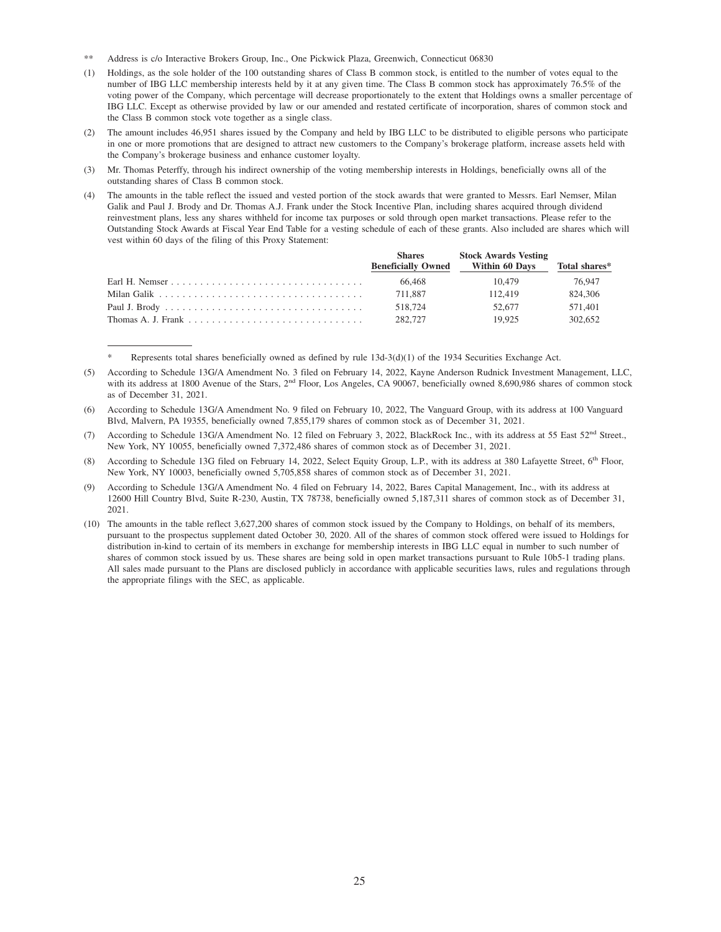- \*\* Address is c/o Interactive Brokers Group, Inc., One Pickwick Plaza, Greenwich, Connecticut 06830
- (1) Holdings, as the sole holder of the 100 outstanding shares of Class B common stock, is entitled to the number of votes equal to the number of IBG LLC membership interests held by it at any given time. The Class B common stock has approximately 76.5% of the voting power of the Company, which percentage will decrease proportionately to the extent that Holdings owns a smaller percentage of IBG LLC. Except as otherwise provided by law or our amended and restated certificate of incorporation, shares of common stock and the Class B common stock vote together as a single class.
- (2) The amount includes 46,951 shares issued by the Company and held by IBG LLC to be distributed to eligible persons who participate in one or more promotions that are designed to attract new customers to the Company's brokerage platform, increase assets held with the Company's brokerage business and enhance customer loyalty.
- (3) Mr. Thomas Peterffy, through his indirect ownership of the voting membership interests in Holdings, beneficially owns all of the outstanding shares of Class B common stock.
- The amounts in the table reflect the issued and vested portion of the stock awards that were granted to Messrs. Earl Nemser, Milan Galik and Paul J. Brody and Dr. Thomas A.J. Frank under the Stock Incentive Plan, including shares acquired through dividend reinvestment plans, less any shares withheld for income tax purposes or sold through open market transactions. Please refer to the Outstanding Stock Awards at Fiscal Year End Table for a vesting schedule of each of these grants. Also included are shares which will vest within 60 days of the filing of this Proxy Statement:

| <b>Shares</b>             | <b>Stock Awards Vesting</b> |               |
|---------------------------|-----------------------------|---------------|
| <b>Beneficially Owned</b> | <b>Within 60 Days</b>       | Total shares* |
| 66.468                    | 10.479                      | 76.947        |
| 711.887                   | 112.419                     | 824.306       |
| 518.724                   | 52.677                      | 571.401       |
| 282.727                   | 19.925                      | 302.652       |

Represents total shares beneficially owned as defined by rule  $13d-3(d)(1)$  of the 1934 Securities Exchange Act.

(7) According to Schedule 13G/A Amendment No. 12 filed on February 3, 2022, BlackRock Inc., with its address at 55 East 52<sup>nd</sup> Street., New York, NY 10055, beneficially owned 7,372,486 shares of common stock as of December 31, 2021.

(8) According to Schedule 13G filed on February 14, 2022, Select Equity Group, L.P., with its address at 380 Lafayette Street, 6<sup>th</sup> Floor, New York, NY 10003, beneficially owned 5,705,858 shares of common stock as of December 31, 2021.

- (9) According to Schedule 13G/A Amendment No. 4 filed on February 14, 2022, Bares Capital Management, Inc., with its address at 12600 Hill Country Blvd, Suite R-230, Austin, TX 78738, beneficially owned 5,187,311 shares of common stock as of December 31, 2021.
- (10) The amounts in the table reflect 3,627,200 shares of common stock issued by the Company to Holdings, on behalf of its members, pursuant to the prospectus supplement dated October 30, 2020. All of the shares of common stock offered were issued to Holdings for distribution in-kind to certain of its members in exchange for membership interests in IBG LLC equal in number to such number of shares of common stock issued by us. These shares are being sold in open market transactions pursuant to Rule 10b5-1 trading plans. All sales made pursuant to the Plans are disclosed publicly in accordance with applicable securities laws, rules and regulations through the appropriate filings with the SEC, as applicable.

<sup>(5)</sup> According to Schedule 13G/A Amendment No. 3 filed on February 14, 2022, Kayne Anderson Rudnick Investment Management, LLC, with its address at 1800 Avenue of the Stars, 2<sup>nd</sup> Floor, Los Angeles, CA 90067, beneficially owned 8,690,986 shares of common stock as of December 31, 2021.

<sup>(6)</sup> According to Schedule 13G/A Amendment No. 9 filed on February 10, 2022, The Vanguard Group, with its address at 100 Vanguard Blvd, Malvern, PA 19355, beneficially owned 7,855,179 shares of common stock as of December 31, 2021.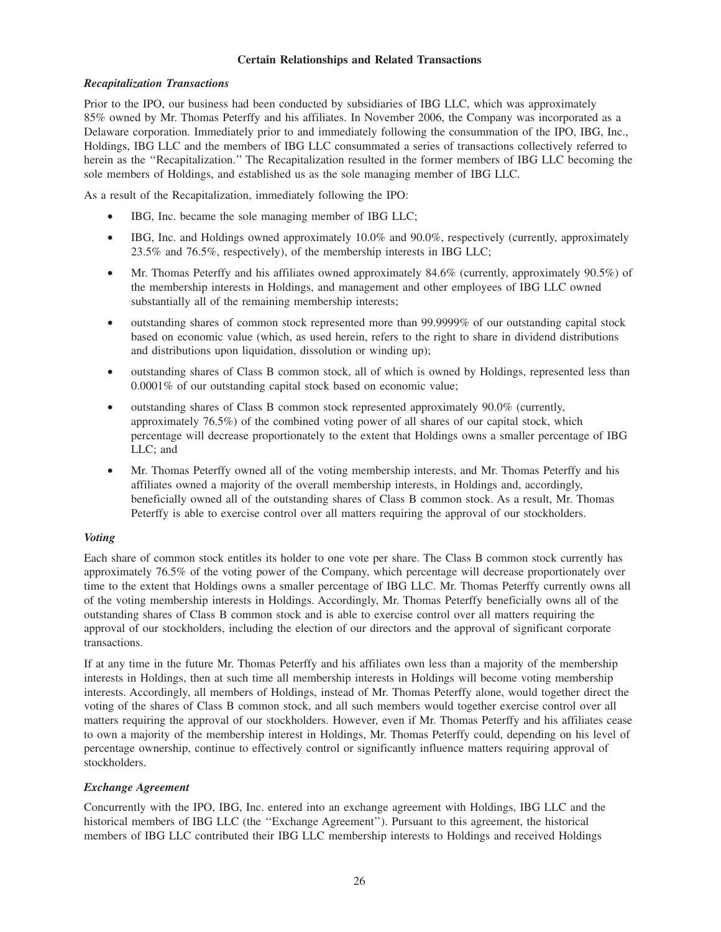### **Certain Relationships and Related Transactions**

## *Recapitalization Transactions*

Prior to the IPO, our business had been conducted by subsidiaries of IBG LLC, which was approximately 85% owned by Mr. Thomas Peterffy and his affiliates. In November 2006, the Company was incorporated as a Delaware corporation. Immediately prior to and immediately following the consummation of the IPO, IBG, Inc., Holdings, IBG LLC and the members of IBG LLC consummated a series of transactions collectively referred to herein as the ''Recapitalization.'' The Recapitalization resulted in the former members of IBG LLC becoming the sole members of Holdings, and established us as the sole managing member of IBG LLC.

As a result of the Recapitalization, immediately following the IPO:

- IBG, Inc. became the sole managing member of IBG LLC;
- IBG, Inc. and Holdings owned approximately 10.0% and 90.0%, respectively (currently, approximately 23.5% and 76.5%, respectively), of the membership interests in IBG LLC;
- Mr. Thomas Peterffy and his affiliates owned approximately 84.6% (currently, approximately 90.5%) of the membership interests in Holdings, and management and other employees of IBG LLC owned substantially all of the remaining membership interests;
- outstanding shares of common stock represented more than 99.9999% of our outstanding capital stock based on economic value (which, as used herein, refers to the right to share in dividend distributions and distributions upon liquidation, dissolution or winding up);
- outstanding shares of Class B common stock, all of which is owned by Holdings, represented less than 0.0001% of our outstanding capital stock based on economic value;
- outstanding shares of Class B common stock represented approximately 90.0% (currently, approximately 76.5%) of the combined voting power of all shares of our capital stock, which percentage will decrease proportionately to the extent that Holdings owns a smaller percentage of IBG LLC; and
- Mr. Thomas Peterffy owned all of the voting membership interests, and Mr. Thomas Peterffy and his affiliates owned a majority of the overall membership interests, in Holdings and, accordingly, beneficially owned all of the outstanding shares of Class B common stock. As a result, Mr. Thomas Peterffy is able to exercise control over all matters requiring the approval of our stockholders.

## *Voting*

Each share of common stock entitles its holder to one vote per share. The Class B common stock currently has approximately 76.5% of the voting power of the Company, which percentage will decrease proportionately over time to the extent that Holdings owns a smaller percentage of IBG LLC. Mr. Thomas Peterffy currently owns all of the voting membership interests in Holdings. Accordingly, Mr. Thomas Peterffy beneficially owns all of the outstanding shares of Class B common stock and is able to exercise control over all matters requiring the approval of our stockholders, including the election of our directors and the approval of significant corporate transactions.

If at any time in the future Mr. Thomas Peterffy and his affiliates own less than a majority of the membership interests in Holdings, then at such time all membership interests in Holdings will become voting membership interests. Accordingly, all members of Holdings, instead of Mr. Thomas Peterffy alone, would together direct the voting of the shares of Class B common stock, and all such members would together exercise control over all matters requiring the approval of our stockholders. However, even if Mr. Thomas Peterffy and his affiliates cease to own a majority of the membership interest in Holdings, Mr. Thomas Peterffy could, depending on his level of percentage ownership, continue to effectively control or significantly influence matters requiring approval of stockholders.

## *Exchange Agreement*

Concurrently with the IPO, IBG, Inc. entered into an exchange agreement with Holdings, IBG LLC and the historical members of IBG LLC (the ''Exchange Agreement''). Pursuant to this agreement, the historical members of IBG LLC contributed their IBG LLC membership interests to Holdings and received Holdings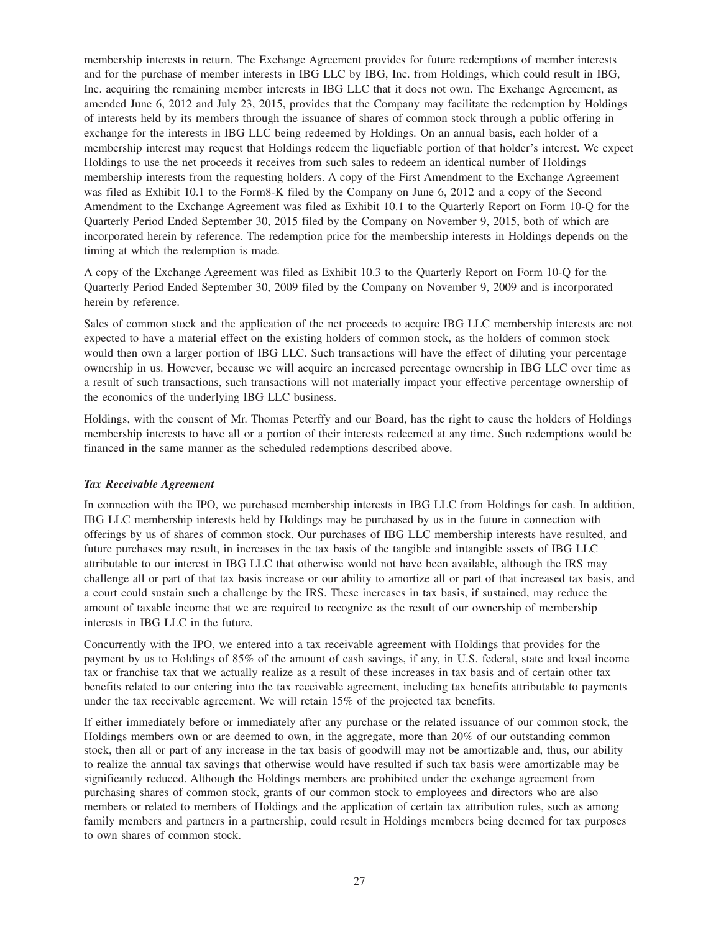membership interests in return. The Exchange Agreement provides for future redemptions of member interests and for the purchase of member interests in IBG LLC by IBG, Inc. from Holdings, which could result in IBG, Inc. acquiring the remaining member interests in IBG LLC that it does not own. The Exchange Agreement, as amended June 6, 2012 and July 23, 2015, provides that the Company may facilitate the redemption by Holdings of interests held by its members through the issuance of shares of common stock through a public offering in exchange for the interests in IBG LLC being redeemed by Holdings. On an annual basis, each holder of a membership interest may request that Holdings redeem the liquefiable portion of that holder's interest. We expect Holdings to use the net proceeds it receives from such sales to redeem an identical number of Holdings membership interests from the requesting holders. A copy of the First Amendment to the Exchange Agreement was filed as Exhibit 10.1 to the Form8-K filed by the Company on June 6, 2012 and a copy of the Second Amendment to the Exchange Agreement was filed as Exhibit 10.1 to the Quarterly Report on Form 10-Q for the Quarterly Period Ended September 30, 2015 filed by the Company on November 9, 2015, both of which are incorporated herein by reference. The redemption price for the membership interests in Holdings depends on the timing at which the redemption is made.

A copy of the Exchange Agreement was filed as Exhibit 10.3 to the Quarterly Report on Form 10-Q for the Quarterly Period Ended September 30, 2009 filed by the Company on November 9, 2009 and is incorporated herein by reference.

Sales of common stock and the application of the net proceeds to acquire IBG LLC membership interests are not expected to have a material effect on the existing holders of common stock, as the holders of common stock would then own a larger portion of IBG LLC. Such transactions will have the effect of diluting your percentage ownership in us. However, because we will acquire an increased percentage ownership in IBG LLC over time as a result of such transactions, such transactions will not materially impact your effective percentage ownership of the economics of the underlying IBG LLC business.

Holdings, with the consent of Mr. Thomas Peterffy and our Board, has the right to cause the holders of Holdings membership interests to have all or a portion of their interests redeemed at any time. Such redemptions would be financed in the same manner as the scheduled redemptions described above.

#### *Tax Receivable Agreement*

In connection with the IPO, we purchased membership interests in IBG LLC from Holdings for cash. In addition, IBG LLC membership interests held by Holdings may be purchased by us in the future in connection with offerings by us of shares of common stock. Our purchases of IBG LLC membership interests have resulted, and future purchases may result, in increases in the tax basis of the tangible and intangible assets of IBG LLC attributable to our interest in IBG LLC that otherwise would not have been available, although the IRS may challenge all or part of that tax basis increase or our ability to amortize all or part of that increased tax basis, and a court could sustain such a challenge by the IRS. These increases in tax basis, if sustained, may reduce the amount of taxable income that we are required to recognize as the result of our ownership of membership interests in IBG LLC in the future.

Concurrently with the IPO, we entered into a tax receivable agreement with Holdings that provides for the payment by us to Holdings of 85% of the amount of cash savings, if any, in U.S. federal, state and local income tax or franchise tax that we actually realize as a result of these increases in tax basis and of certain other tax benefits related to our entering into the tax receivable agreement, including tax benefits attributable to payments under the tax receivable agreement. We will retain 15% of the projected tax benefits.

If either immediately before or immediately after any purchase or the related issuance of our common stock, the Holdings members own or are deemed to own, in the aggregate, more than 20% of our outstanding common stock, then all or part of any increase in the tax basis of goodwill may not be amortizable and, thus, our ability to realize the annual tax savings that otherwise would have resulted if such tax basis were amortizable may be significantly reduced. Although the Holdings members are prohibited under the exchange agreement from purchasing shares of common stock, grants of our common stock to employees and directors who are also members or related to members of Holdings and the application of certain tax attribution rules, such as among family members and partners in a partnership, could result in Holdings members being deemed for tax purposes to own shares of common stock.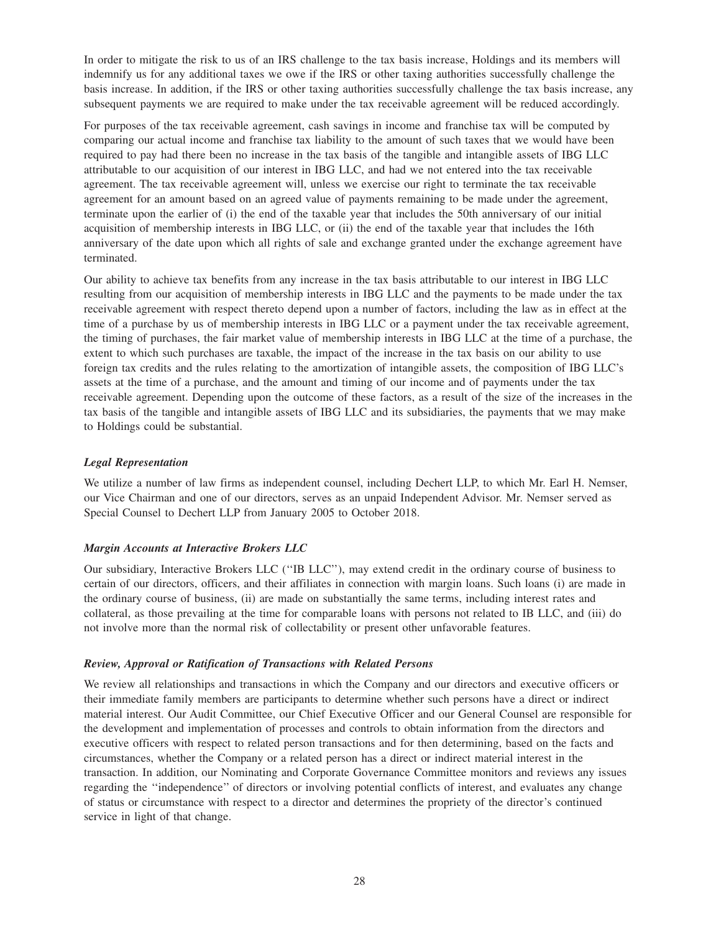In order to mitigate the risk to us of an IRS challenge to the tax basis increase, Holdings and its members will indemnify us for any additional taxes we owe if the IRS or other taxing authorities successfully challenge the basis increase. In addition, if the IRS or other taxing authorities successfully challenge the tax basis increase, any subsequent payments we are required to make under the tax receivable agreement will be reduced accordingly.

For purposes of the tax receivable agreement, cash savings in income and franchise tax will be computed by comparing our actual income and franchise tax liability to the amount of such taxes that we would have been required to pay had there been no increase in the tax basis of the tangible and intangible assets of IBG LLC attributable to our acquisition of our interest in IBG LLC, and had we not entered into the tax receivable agreement. The tax receivable agreement will, unless we exercise our right to terminate the tax receivable agreement for an amount based on an agreed value of payments remaining to be made under the agreement, terminate upon the earlier of (i) the end of the taxable year that includes the 50th anniversary of our initial acquisition of membership interests in IBG LLC, or (ii) the end of the taxable year that includes the 16th anniversary of the date upon which all rights of sale and exchange granted under the exchange agreement have terminated.

Our ability to achieve tax benefits from any increase in the tax basis attributable to our interest in IBG LLC resulting from our acquisition of membership interests in IBG LLC and the payments to be made under the tax receivable agreement with respect thereto depend upon a number of factors, including the law as in effect at the time of a purchase by us of membership interests in IBG LLC or a payment under the tax receivable agreement, the timing of purchases, the fair market value of membership interests in IBG LLC at the time of a purchase, the extent to which such purchases are taxable, the impact of the increase in the tax basis on our ability to use foreign tax credits and the rules relating to the amortization of intangible assets, the composition of IBG LLC's assets at the time of a purchase, and the amount and timing of our income and of payments under the tax receivable agreement. Depending upon the outcome of these factors, as a result of the size of the increases in the tax basis of the tangible and intangible assets of IBG LLC and its subsidiaries, the payments that we may make to Holdings could be substantial.

#### *Legal Representation*

We utilize a number of law firms as independent counsel, including Dechert LLP, to which Mr. Earl H. Nemser, our Vice Chairman and one of our directors, serves as an unpaid Independent Advisor. Mr. Nemser served as Special Counsel to Dechert LLP from January 2005 to October 2018.

#### *Margin Accounts at Interactive Brokers LLC*

Our subsidiary, Interactive Brokers LLC (''IB LLC''), may extend credit in the ordinary course of business to certain of our directors, officers, and their affiliates in connection with margin loans. Such loans (i) are made in the ordinary course of business, (ii) are made on substantially the same terms, including interest rates and collateral, as those prevailing at the time for comparable loans with persons not related to IB LLC, and (iii) do not involve more than the normal risk of collectability or present other unfavorable features.

#### *Review, Approval or Ratification of Transactions with Related Persons*

We review all relationships and transactions in which the Company and our directors and executive officers or their immediate family members are participants to determine whether such persons have a direct or indirect material interest. Our Audit Committee, our Chief Executive Officer and our General Counsel are responsible for the development and implementation of processes and controls to obtain information from the directors and executive officers with respect to related person transactions and for then determining, based on the facts and circumstances, whether the Company or a related person has a direct or indirect material interest in the transaction. In addition, our Nominating and Corporate Governance Committee monitors and reviews any issues regarding the ''independence'' of directors or involving potential conflicts of interest, and evaluates any change of status or circumstance with respect to a director and determines the propriety of the director's continued service in light of that change.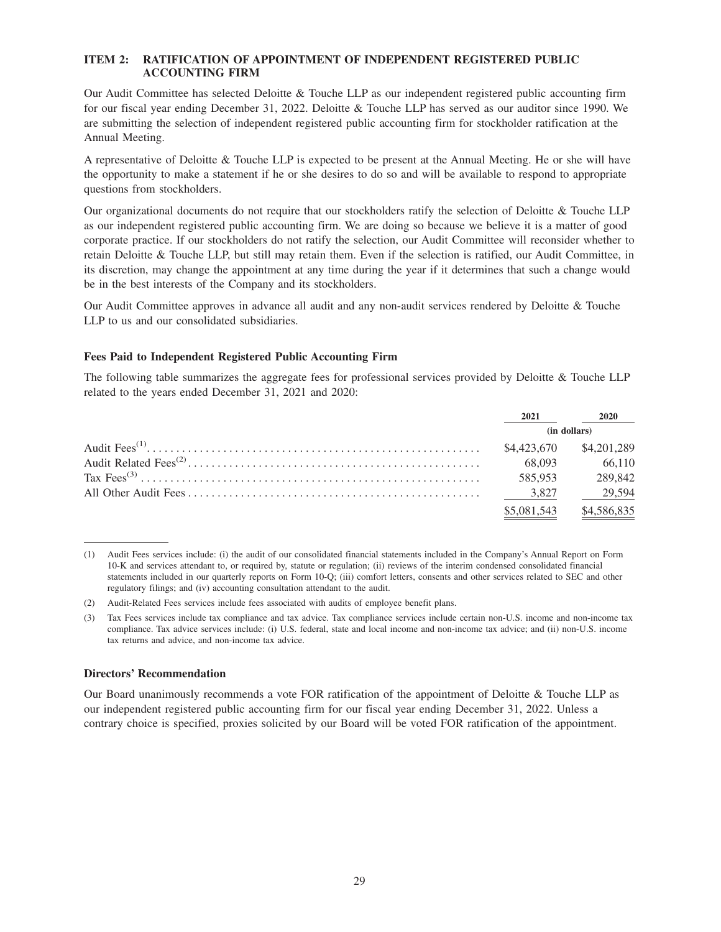### **ITEM 2: RATIFICATION OF APPOINTMENT OF INDEPENDENT REGISTERED PUBLIC ACCOUNTING FIRM**

Our Audit Committee has selected Deloitte & Touche LLP as our independent registered public accounting firm for our fiscal year ending December 31, 2022. Deloitte & Touche LLP has served as our auditor since 1990. We are submitting the selection of independent registered public accounting firm for stockholder ratification at the Annual Meeting.

A representative of Deloitte & Touche LLP is expected to be present at the Annual Meeting. He or she will have the opportunity to make a statement if he or she desires to do so and will be available to respond to appropriate questions from stockholders.

Our organizational documents do not require that our stockholders ratify the selection of Deloitte & Touche LLP as our independent registered public accounting firm. We are doing so because we believe it is a matter of good corporate practice. If our stockholders do not ratify the selection, our Audit Committee will reconsider whether to retain Deloitte & Touche LLP, but still may retain them. Even if the selection is ratified, our Audit Committee, in its discretion, may change the appointment at any time during the year if it determines that such a change would be in the best interests of the Company and its stockholders.

Our Audit Committee approves in advance all audit and any non-audit services rendered by Deloitte & Touche LLP to us and our consolidated subsidiaries.

### **Fees Paid to Independent Registered Public Accounting Firm**

The following table summarizes the aggregate fees for professional services provided by Deloitte & Touche LLP related to the years ended December 31, 2021 and 2020:

| 2021         | 2020        |  |
|--------------|-------------|--|
| (in dollars) |             |  |
| \$4.423,670  | \$4,201,289 |  |
| 68.093       | 66.110      |  |
| 585,953      | 289.842     |  |
| 3.827        | 29.594      |  |
| \$5,081,543  | \$4,586,835 |  |

<sup>(1)</sup> Audit Fees services include: (i) the audit of our consolidated financial statements included in the Company's Annual Report on Form 10-K and services attendant to, or required by, statute or regulation; (ii) reviews of the interim condensed consolidated financial statements included in our quarterly reports on Form 10-Q; (iii) comfort letters, consents and other services related to SEC and other regulatory filings; and (iv) accounting consultation attendant to the audit.

#### **Directors' Recommendation**

Our Board unanimously recommends a vote FOR ratification of the appointment of Deloitte & Touche LLP as our independent registered public accounting firm for our fiscal year ending December 31, 2022. Unless a contrary choice is specified, proxies solicited by our Board will be voted FOR ratification of the appointment.

<sup>(2)</sup> Audit-Related Fees services include fees associated with audits of employee benefit plans.

<sup>(3)</sup> Tax Fees services include tax compliance and tax advice. Tax compliance services include certain non-U.S. income and non-income tax compliance. Tax advice services include: (i) U.S. federal, state and local income and non-income tax advice; and (ii) non-U.S. income tax returns and advice, and non-income tax advice.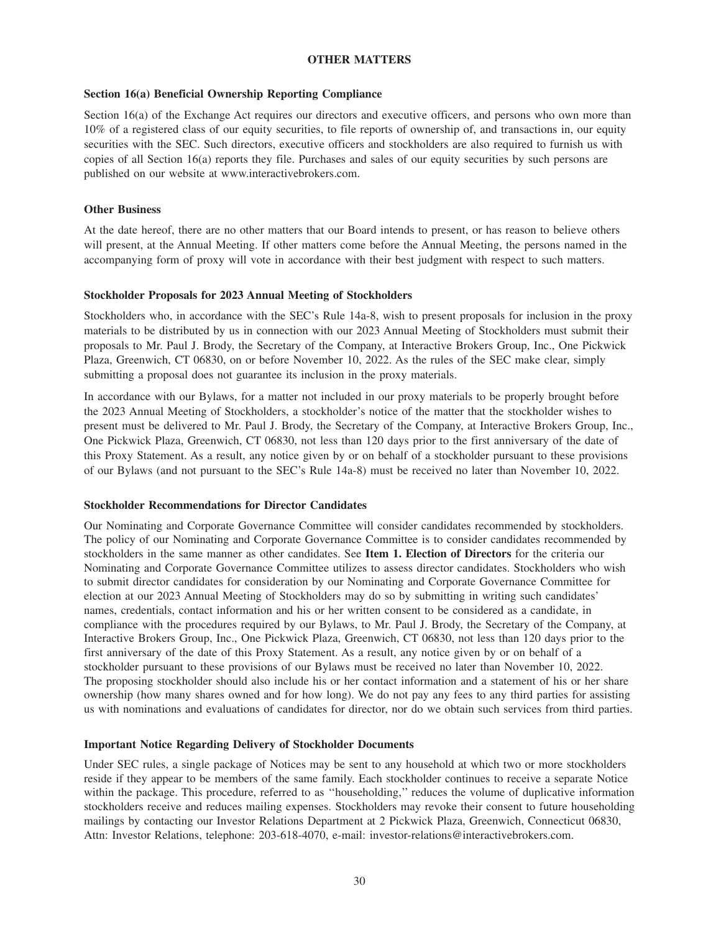#### **OTHER MATTERS**

#### **Section 16(a) Beneficial Ownership Reporting Compliance**

Section 16(a) of the Exchange Act requires our directors and executive officers, and persons who own more than 10% of a registered class of our equity securities, to file reports of ownership of, and transactions in, our equity securities with the SEC. Such directors, executive officers and stockholders are also required to furnish us with copies of all Section 16(a) reports they file. Purchases and sales of our equity securities by such persons are published on our website at www.interactivebrokers.com.

#### **Other Business**

At the date hereof, there are no other matters that our Board intends to present, or has reason to believe others will present, at the Annual Meeting. If other matters come before the Annual Meeting, the persons named in the accompanying form of proxy will vote in accordance with their best judgment with respect to such matters.

#### **Stockholder Proposals for 2023 Annual Meeting of Stockholders**

Stockholders who, in accordance with the SEC's Rule 14a-8, wish to present proposals for inclusion in the proxy materials to be distributed by us in connection with our 2023 Annual Meeting of Stockholders must submit their proposals to Mr. Paul J. Brody, the Secretary of the Company, at Interactive Brokers Group, Inc., One Pickwick Plaza, Greenwich, CT 06830, on or before November 10, 2022. As the rules of the SEC make clear, simply submitting a proposal does not guarantee its inclusion in the proxy materials.

In accordance with our Bylaws, for a matter not included in our proxy materials to be properly brought before the 2023 Annual Meeting of Stockholders, a stockholder's notice of the matter that the stockholder wishes to present must be delivered to Mr. Paul J. Brody, the Secretary of the Company, at Interactive Brokers Group, Inc., One Pickwick Plaza, Greenwich, CT 06830, not less than 120 days prior to the first anniversary of the date of this Proxy Statement. As a result, any notice given by or on behalf of a stockholder pursuant to these provisions of our Bylaws (and not pursuant to the SEC's Rule 14a-8) must be received no later than November 10, 2022.

#### **Stockholder Recommendations for Director Candidates**

Our Nominating and Corporate Governance Committee will consider candidates recommended by stockholders. The policy of our Nominating and Corporate Governance Committee is to consider candidates recommended by stockholders in the same manner as other candidates. See **Item 1. Election of Directors** for the criteria our Nominating and Corporate Governance Committee utilizes to assess director candidates. Stockholders who wish to submit director candidates for consideration by our Nominating and Corporate Governance Committee for election at our 2023 Annual Meeting of Stockholders may do so by submitting in writing such candidates' names, credentials, contact information and his or her written consent to be considered as a candidate, in compliance with the procedures required by our Bylaws, to Mr. Paul J. Brody, the Secretary of the Company, at Interactive Brokers Group, Inc., One Pickwick Plaza, Greenwich, CT 06830, not less than 120 days prior to the first anniversary of the date of this Proxy Statement. As a result, any notice given by or on behalf of a stockholder pursuant to these provisions of our Bylaws must be received no later than November 10, 2022. The proposing stockholder should also include his or her contact information and a statement of his or her share ownership (how many shares owned and for how long). We do not pay any fees to any third parties for assisting us with nominations and evaluations of candidates for director, nor do we obtain such services from third parties.

#### **Important Notice Regarding Delivery of Stockholder Documents**

Under SEC rules, a single package of Notices may be sent to any household at which two or more stockholders reside if they appear to be members of the same family. Each stockholder continues to receive a separate Notice within the package. This procedure, referred to as "householding," reduces the volume of duplicative information stockholders receive and reduces mailing expenses. Stockholders may revoke their consent to future householding mailings by contacting our Investor Relations Department at 2 Pickwick Plaza, Greenwich, Connecticut 06830, Attn: Investor Relations, telephone: 203-618-4070, e-mail: investor-relations@interactivebrokers.com.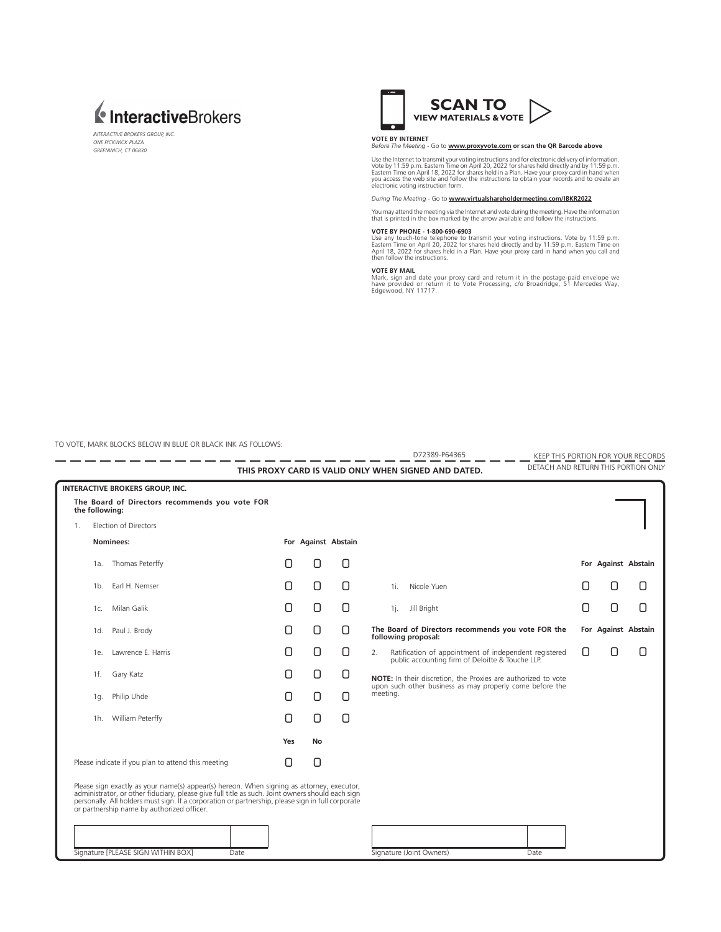

*INTERACTIVE BROKERS GROUP, INC. ONE PICKWICK PLAZA GREENWICH, CT 06830*



## **VOTE BY INTERNET**  *Before The Meeting* - Go to **www.proxyvote.com or scan the QR Barcode above**

Use the Internet to transmit your voting instructions and for electronic delivery of information. Vote by 11:59 p.m. Eastern Time on April 20, 2022 for shares held directly and by 11:59 p.m.<br>Eastern Time on April 18, 2022 for shares held in a Plan. Have your proxy card in hand when<br>you access the web site and follow th

*During The Meeting* - Go to **www.virtualshareholdermeeting.com/IBKR2022**

You may attend the meeting via the Internet and vote during the meeting. Have the information that is printed in the box marked by the arrow available and follow the instructions.

#### **VOTE BY PHONE - 1-800-690-6903**

Use any touch-tone telephone to transmit your voting instructions. Vote by 11:59 p.m.<br>Eastern Time on April 20, 2022 for shares held directly and by 11:59 p.m. Eastern Time on<br>April 18, 2022 for shares held in a Plan. Have

**VOTE BY MAIL**<br>Mark, sign and date your proxy card and return it in the postage-paid envelope we<br>have provided or return it to Vote Processing, *c/*o Broadridge, 51 Mercedes Way,<br>Edgewood, NY 11717.

TO VOTE, MARK BLOCKS BELOW IN BLUE OR BLACK INK AS FOLLOWS:

|                |                                                      |                                                                                                                                                                                                                                                                                                                                               |                     |    |   | D72389-P64365                                                                                                             | KEEP THIS PORTION FOR YOUR RECORDS  |                     |   |  |
|----------------|------------------------------------------------------|-----------------------------------------------------------------------------------------------------------------------------------------------------------------------------------------------------------------------------------------------------------------------------------------------------------------------------------------------|---------------------|----|---|---------------------------------------------------------------------------------------------------------------------------|-------------------------------------|---------------------|---|--|
|                | THIS PROXY CARD IS VALID ONLY WHEN SIGNED AND DATED. |                                                                                                                                                                                                                                                                                                                                               |                     |    |   |                                                                                                                           | DETACH AND RETURN THIS PORTION ONLY |                     |   |  |
|                |                                                      | <b>INTERACTIVE BROKERS GROUP, INC.</b>                                                                                                                                                                                                                                                                                                        |                     |    |   |                                                                                                                           |                                     |                     |   |  |
|                | the following:                                       | The Board of Directors recommends you vote FOR                                                                                                                                                                                                                                                                                                |                     |    |   |                                                                                                                           |                                     |                     |   |  |
| $\mathbf{1}$ . |                                                      | <b>Flection of Directors</b>                                                                                                                                                                                                                                                                                                                  |                     |    |   |                                                                                                                           |                                     |                     |   |  |
| Nominees:      |                                                      |                                                                                                                                                                                                                                                                                                                                               | For Against Abstain |    |   |                                                                                                                           |                                     |                     |   |  |
|                | 1a.                                                  | Thomas Peterffy                                                                                                                                                                                                                                                                                                                               | Ο                   | 0  | О |                                                                                                                           |                                     | For Against Abstain |   |  |
|                | 1b.                                                  | Earl H. Nemser                                                                                                                                                                                                                                                                                                                                | О                   | О  | Ο | Nicole Yuen<br>1i.                                                                                                        | Ο                                   | Ο                   | U |  |
|                | 1c.                                                  | Milan Galik                                                                                                                                                                                                                                                                                                                                   | О                   | 0  | О | Jill Bright<br>1j.                                                                                                        | Ο                                   | 0                   | Ο |  |
|                | 1d.                                                  | Paul J. Brody                                                                                                                                                                                                                                                                                                                                 | О                   | 0  | 0 | The Board of Directors recommends you vote FOR the<br>following proposal:                                                 |                                     | For Against Abstain |   |  |
|                | 1e.                                                  | Lawrence E. Harris                                                                                                                                                                                                                                                                                                                            | О                   | 0  | О | Ratification of appointment of independent registered<br>2.<br>public accounting firm of Deloitte & Touche LLP.           | 0                                   | Ο                   | 0 |  |
|                | 1f.                                                  | Gary Katz                                                                                                                                                                                                                                                                                                                                     | О                   | О  | 0 | NOTE: In their discretion, the Proxies are authorized to vote<br>upon such other business as may properly come before the |                                     |                     |   |  |
|                | 1q.                                                  | Philip Uhde                                                                                                                                                                                                                                                                                                                                   | О                   | О  | Ο | meeting.                                                                                                                  |                                     |                     |   |  |
|                | 1h.                                                  | William Peterffy                                                                                                                                                                                                                                                                                                                              | 0                   | О  | 0 |                                                                                                                           |                                     |                     |   |  |
|                |                                                      |                                                                                                                                                                                                                                                                                                                                               | Yes                 | No |   |                                                                                                                           |                                     |                     |   |  |
|                |                                                      | Please indicate if you plan to attend this meeting                                                                                                                                                                                                                                                                                            | Ο                   | О  |   |                                                                                                                           |                                     |                     |   |  |
|                |                                                      | Please sign exactly as your name(s) appear(s) hereon. When signing as attorney, executor, administrator, or other fiduciary, please give full title as such. Joint owners should each sign<br>personally. All holders must sign. If a corporation or partnership, please sign in full corporate<br>or partnership name by authorized officer. |                     |    |   |                                                                                                                           |                                     |                     |   |  |
|                |                                                      |                                                                                                                                                                                                                                                                                                                                               |                     |    |   |                                                                                                                           |                                     |                     |   |  |
|                |                                                      | Signature [PLEASE SIGN WITHIN BOX]<br>Date                                                                                                                                                                                                                                                                                                    |                     |    |   | Signature (Joint Owners)<br>Date                                                                                          |                                     |                     |   |  |